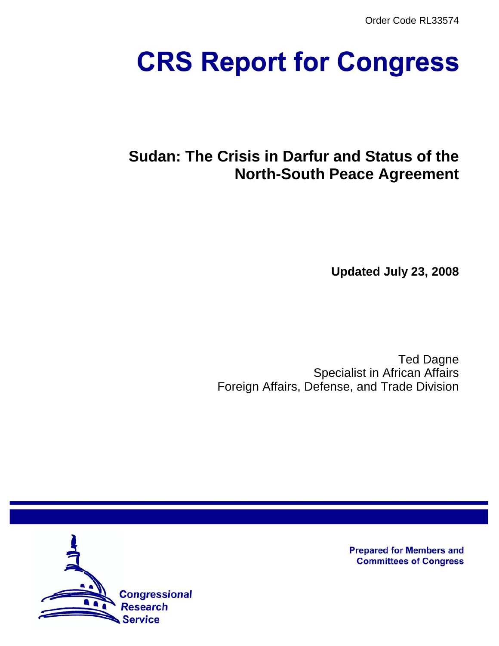Order Code RL33574

# **CRS Report for Congress**

# **Sudan: The Crisis in Darfur and Status of the North-South Peace Agreement**

**Updated July 23, 2008**

Ted Dagne Specialist in African Affairs Foreign Affairs, Defense, and Trade Division



**Prepared for Members and Committees of Congress**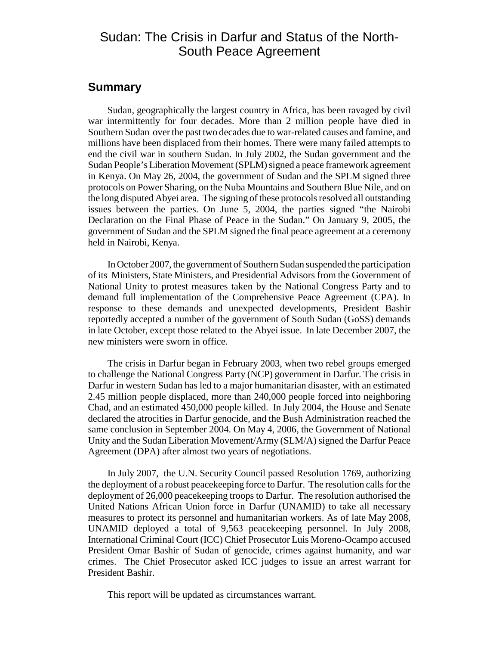## Sudan: The Crisis in Darfur and Status of the North-South Peace Agreement

## **Summary**

Sudan, geographically the largest country in Africa, has been ravaged by civil war intermittently for four decades. More than 2 million people have died in Southern Sudan over the past two decades due to war-related causes and famine, and millions have been displaced from their homes. There were many failed attempts to end the civil war in southern Sudan. In July 2002, the Sudan government and the Sudan People's Liberation Movement (SPLM) signed a peace framework agreement in Kenya. On May 26, 2004, the government of Sudan and the SPLM signed three protocols on Power Sharing, on the Nuba Mountains and Southern Blue Nile, and on the long disputed Abyei area. The signing of these protocols resolved all outstanding issues between the parties. On June 5, 2004, the parties signed "the Nairobi Declaration on the Final Phase of Peace in the Sudan." On January 9, 2005, the government of Sudan and the SPLM signed the final peace agreement at a ceremony held in Nairobi, Kenya.

In October 2007, the government of Southern Sudan suspended the participation of its Ministers, State Ministers, and Presidential Advisors from the Government of National Unity to protest measures taken by the National Congress Party and to demand full implementation of the Comprehensive Peace Agreement (CPA). In response to these demands and unexpected developments, President Bashir reportedly accepted a number of the government of South Sudan (GoSS) demands in late October, except those related to the Abyei issue. In late December 2007, the new ministers were sworn in office.

The crisis in Darfur began in February 2003, when two rebel groups emerged to challenge the National Congress Party (NCP) government in Darfur. The crisis in Darfur in western Sudan has led to a major humanitarian disaster, with an estimated 2.45 million people displaced, more than 240,000 people forced into neighboring Chad, and an estimated 450,000 people killed. In July 2004, the House and Senate declared the atrocities in Darfur genocide, and the Bush Administration reached the same conclusion in September 2004. On May 4, 2006, the Government of National Unity and the Sudan Liberation Movement/Army (SLM/A) signed the Darfur Peace Agreement (DPA) after almost two years of negotiations.

In July 2007, the U.N. Security Council passed Resolution 1769, authorizing the deployment of a robust peacekeeping force to Darfur. The resolution calls for the deployment of 26,000 peacekeeping troops to Darfur. The resolution authorised the United Nations African Union force in Darfur (UNAMID) to take all necessary measures to protect its personnel and humanitarian workers. As of late May 2008, UNAMID deployed a total of 9,563 peacekeeping personnel. In July 2008, International Criminal Court (ICC) Chief Prosecutor Luis Moreno-Ocampo accused President Omar Bashir of Sudan of genocide, crimes against humanity, and war crimes. The Chief Prosecutor asked ICC judges to issue an arrest warrant for President Bashir.

This report will be updated as circumstances warrant.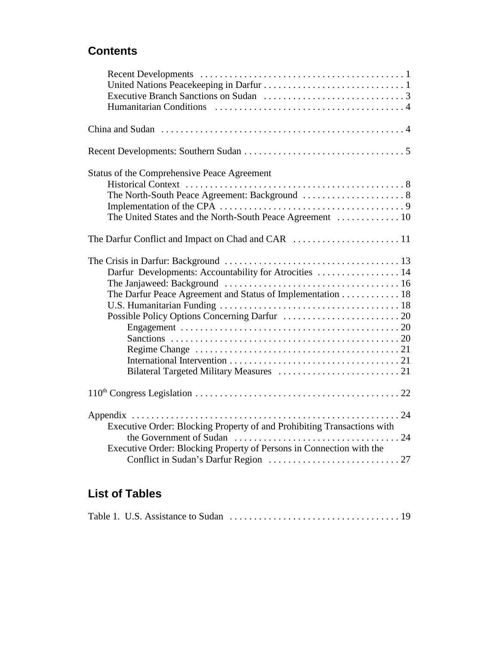# **Contents**

| Status of the Comprehensive Peace Agreement                                                            |  |
|--------------------------------------------------------------------------------------------------------|--|
|                                                                                                        |  |
|                                                                                                        |  |
|                                                                                                        |  |
|                                                                                                        |  |
|                                                                                                        |  |
| Darfur Developments: Accountability for Atrocities  14                                                 |  |
|                                                                                                        |  |
| The Darfur Peace Agreement and Status of Implementation 18                                             |  |
|                                                                                                        |  |
|                                                                                                        |  |
|                                                                                                        |  |
|                                                                                                        |  |
| Regime Change $\dots \dots \dots \dots \dots \dots \dots \dots \dots \dots \dots \dots \dots \dots 21$ |  |
|                                                                                                        |  |
|                                                                                                        |  |
|                                                                                                        |  |
|                                                                                                        |  |
| Executive Order: Blocking Property of and Prohibiting Transactions with                                |  |
| Executive Order: Blocking Property of Persons in Connection with the                                   |  |

# **List of Tables**

|--|--|--|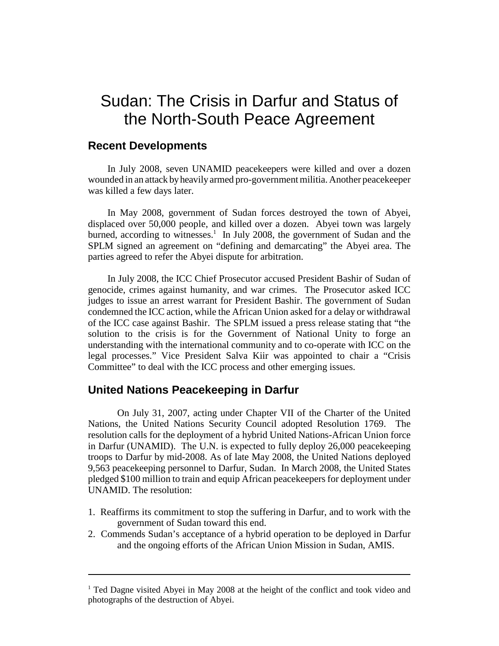# Sudan: The Crisis in Darfur and Status of the North-South Peace Agreement

## **Recent Developments**

In July 2008, seven UNAMID peacekeepers were killed and over a dozen wounded in an attack by heavily armed pro-government militia. Another peacekeeper was killed a few days later.

In May 2008, government of Sudan forces destroyed the town of Abyei, displaced over 50,000 people, and killed over a dozen. Abyei town was largely burned, according to witnesses.<sup>1</sup> In July 2008, the government of Sudan and the SPLM signed an agreement on "defining and demarcating" the Abyei area. The parties agreed to refer the Abyei dispute for arbitration.

In July 2008, the ICC Chief Prosecutor accused President Bashir of Sudan of genocide, crimes against humanity, and war crimes. The Prosecutor asked ICC judges to issue an arrest warrant for President Bashir. The government of Sudan condemned the ICC action, while the African Union asked for a delay or withdrawal of the ICC case against Bashir. The SPLM issued a press release stating that "the solution to the crisis is for the Government of National Unity to forge an understanding with the international community and to co-operate with ICC on the legal processes." Vice President Salva Kiir was appointed to chair a "Crisis Committee" to deal with the ICC process and other emerging issues.

## **United Nations Peacekeeping in Darfur**

On July 31, 2007, acting under Chapter VII of the Charter of the United Nations, the United Nations Security Council adopted Resolution 1769. The resolution calls for the deployment of a hybrid United Nations-African Union force in Darfur (UNAMID). The U.N. is expected to fully deploy 26,000 peacekeeping troops to Darfur by mid-2008. As of late May 2008, the United Nations deployed 9,563 peacekeeping personnel to Darfur, Sudan. In March 2008, the United States pledged \$100 million to train and equip African peacekeepers for deployment under UNAMID. The resolution:

- 1. Reaffirms its commitment to stop the suffering in Darfur, and to work with the government of Sudan toward this end.
- 2. Commends Sudan's acceptance of a hybrid operation to be deployed in Darfur and the ongoing efforts of the African Union Mission in Sudan, AMIS.

<sup>&</sup>lt;sup>1</sup> Ted Dagne visited Abyei in May 2008 at the height of the conflict and took video and photographs of the destruction of Abyei.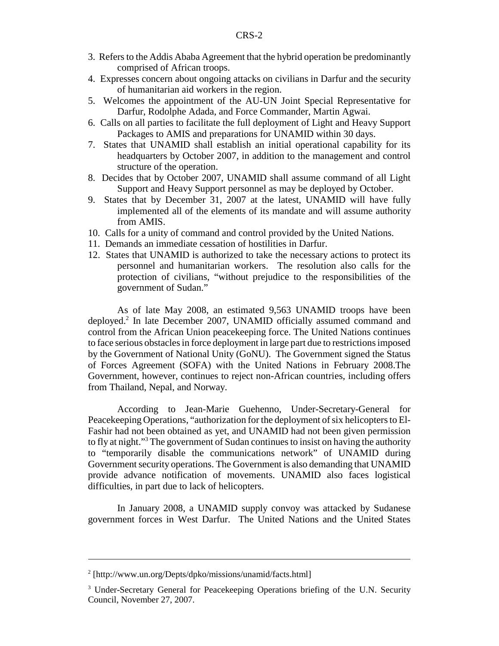- 3. Refers to the Addis Ababa Agreement that the hybrid operation be predominantly comprised of African troops.
- 4. Expresses concern about ongoing attacks on civilians in Darfur and the security of humanitarian aid workers in the region.
- 5. Welcomes the appointment of the AU-UN Joint Special Representative for Darfur, Rodolphe Adada, and Force Commander, Martin Agwai.
- 6. Calls on all parties to facilitate the full deployment of Light and Heavy Support Packages to AMIS and preparations for UNAMID within 30 days.
- 7. States that UNAMID shall establish an initial operational capability for its headquarters by October 2007, in addition to the management and control structure of the operation.
- 8. Decides that by October 2007, UNAMID shall assume command of all Light Support and Heavy Support personnel as may be deployed by October.
- 9. States that by December 31, 2007 at the latest, UNAMID will have fully implemented all of the elements of its mandate and will assume authority from AMIS.
- 10. Calls for a unity of command and control provided by the United Nations.
- 11. Demands an immediate cessation of hostilities in Darfur.
- 12. States that UNAMID is authorized to take the necessary actions to protect its personnel and humanitarian workers. The resolution also calls for the protection of civilians, "without prejudice to the responsibilities of the government of Sudan."

As of late May 2008, an estimated 9,563 UNAMID troops have been deployed.<sup>2</sup> In late December 2007, UNAMID officially assumed command and control from the African Union peacekeeping force. The United Nations continues to face serious obstacles in force deployment in large part due to restrictions imposed by the Government of National Unity (GoNU). The Government signed the Status of Forces Agreement (SOFA) with the United Nations in February 2008.The Government, however, continues to reject non-African countries, including offers from Thailand, Nepal, and Norway.

According to Jean-Marie Guehenno, Under-Secretary-General for Peacekeeping Operations, "authorization for the deployment of six helicopters to El-Fashir had not been obtained as yet, and UNAMID had not been given permission to fly at night."<sup>3</sup> The government of Sudan continues to insist on having the authority to "temporarily disable the communications network" of UNAMID during Government security operations. The Government is also demanding that UNAMID provide advance notification of movements. UNAMID also faces logistical difficulties, in part due to lack of helicopters.

In January 2008, a UNAMID supply convoy was attacked by Sudanese government forces in West Darfur. The United Nations and the United States

<sup>&</sup>lt;sup>2</sup> [http://www.un.org/Depts/dpko/missions/unamid/facts.html]

<sup>&</sup>lt;sup>3</sup> Under-Secretary General for Peacekeeping Operations briefing of the U.N. Security Council, November 27, 2007.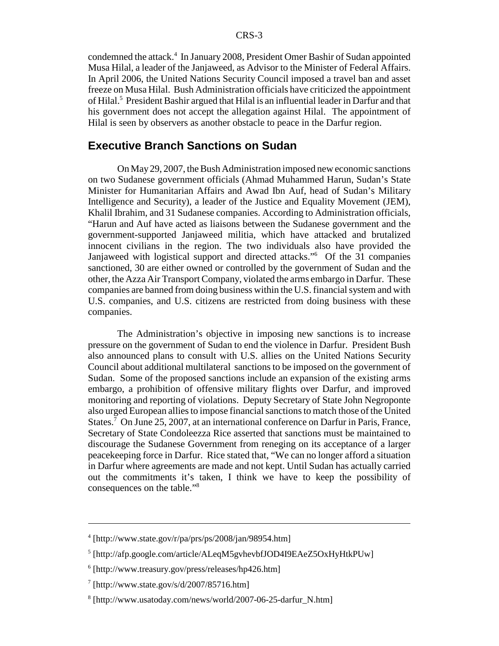condemned the attack.<sup>4</sup> In January 2008, President Omer Bashir of Sudan appointed Musa Hilal, a leader of the Janjaweed, as Advisor to the Minister of Federal Affairs. In April 2006, the United Nations Security Council imposed a travel ban and asset freeze on Musa Hilal. Bush Administration officials have criticized the appointment of Hilal.<sup>5</sup> President Bashir argued that Hilal is an influential leader in Darfur and that his government does not accept the allegation against Hilal. The appointment of Hilal is seen by observers as another obstacle to peace in the Darfur region.

## **Executive Branch Sanctions on Sudan**

On May 29, 2007, the Bush Administration imposed new economic sanctions on two Sudanese government officials (Ahmad Muhammed Harun, Sudan's State Minister for Humanitarian Affairs and Awad Ibn Auf, head of Sudan's Military Intelligence and Security), a leader of the Justice and Equality Movement (JEM), Khalil Ibrahim, and 31 Sudanese companies. According to Administration officials, "Harun and Auf have acted as liaisons between the Sudanese government and the government-supported Janjaweed militia, which have attacked and brutalized innocent civilians in the region. The two individuals also have provided the Janjaweed with logistical support and directed attacks."6 Of the 31 companies sanctioned, 30 are either owned or controlled by the government of Sudan and the other, the Azza Air Transport Company, violated the arms embargo in Darfur. These companies are banned from doing business within the U.S. financial system and with U.S. companies, and U.S. citizens are restricted from doing business with these companies.

The Administration's objective in imposing new sanctions is to increase pressure on the government of Sudan to end the violence in Darfur. President Bush also announced plans to consult with U.S. allies on the United Nations Security Council about additional multilateral sanctions to be imposed on the government of Sudan. Some of the proposed sanctions include an expansion of the existing arms embargo, a prohibition of offensive military flights over Darfur, and improved monitoring and reporting of violations. Deputy Secretary of State John Negroponte also urged European allies to impose financial sanctions to match those of the United States.<sup>7</sup> On June 25, 2007, at an international conference on Darfur in Paris, France, Secretary of State Condoleezza Rice asserted that sanctions must be maintained to discourage the Sudanese Government from reneging on its acceptance of a larger peacekeeping force in Darfur. Rice stated that, "We can no longer afford a situation in Darfur where agreements are made and not kept. Until Sudan has actually carried out the commitments it's taken, I think we have to keep the possibility of consequences on the table."8

<sup>4</sup> [http://www.state.gov/r/pa/prs/ps/2008/jan/98954.htm]

<sup>&</sup>lt;sup>5</sup> [http://afp.google.com/article/ALeqM5gvhevbfJOD4I9EAeZ5OxHyHtkPUw]

<sup>6</sup> [http://www.treasury.gov/press/releases/hp426.htm]

 $7$  [http://www.state.gov/s/d/2007/85716.htm]

<sup>8</sup> [http://www.usatoday.com/news/world/2007-06-25-darfur\_N.htm]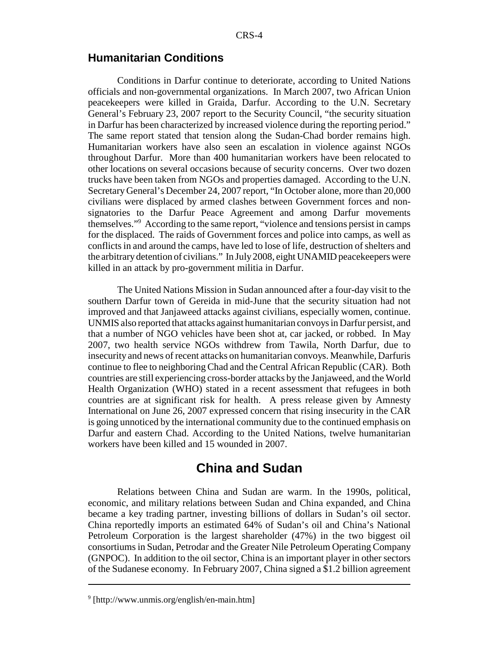## **Humanitarian Conditions**

Conditions in Darfur continue to deteriorate, according to United Nations officials and non-governmental organizations. In March 2007, two African Union peacekeepers were killed in Graida, Darfur. According to the U.N. Secretary General's February 23, 2007 report to the Security Council, "the security situation in Darfur has been characterized by increased violence during the reporting period." The same report stated that tension along the Sudan-Chad border remains high. Humanitarian workers have also seen an escalation in violence against NGOs throughout Darfur. More than 400 humanitarian workers have been relocated to other locations on several occasions because of security concerns. Over two dozen trucks have been taken from NGOs and properties damaged. According to the U.N. Secretary General's December 24, 2007 report, "In October alone, more than 20,000 civilians were displaced by armed clashes between Government forces and nonsignatories to the Darfur Peace Agreement and among Darfur movements themselves."9 According to the same report, "violence and tensions persist in camps for the displaced. The raids of Government forces and police into camps, as well as conflicts in and around the camps, have led to lose of life, destruction of shelters and the arbitrary detention of civilians." In July 2008, eight UNAMID peacekeepers were killed in an attack by pro-government militia in Darfur.

The United Nations Mission in Sudan announced after a four-day visit to the southern Darfur town of Gereida in mid-June that the security situation had not improved and that Janjaweed attacks against civilians, especially women, continue. UNMIS also reported that attacks against humanitarian convoys in Darfur persist, and that a number of NGO vehicles have been shot at, car jacked, or robbed. In May 2007, two health service NGOs withdrew from Tawila, North Darfur, due to insecurity and news of recent attacks on humanitarian convoys. Meanwhile, Darfuris continue to flee to neighboring Chad and the Central African Republic (CAR). Both countries are still experiencing cross-border attacks by the Janjaweed, and the World Health Organization (WHO) stated in a recent assessment that refugees in both countries are at significant risk for health. A press release given by Amnesty International on June 26, 2007 expressed concern that rising insecurity in the CAR is going unnoticed by the international community due to the continued emphasis on Darfur and eastern Chad. According to the United Nations, twelve humanitarian workers have been killed and 15 wounded in 2007.

## **China and Sudan**

Relations between China and Sudan are warm. In the 1990s, political, economic, and military relations between Sudan and China expanded, and China became a key trading partner, investing billions of dollars in Sudan's oil sector. China reportedly imports an estimated 64% of Sudan's oil and China's National Petroleum Corporation is the largest shareholder (47%) in the two biggest oil consortiums in Sudan, Petrodar and the Greater Nile Petroleum Operating Company (GNPOC). In addition to the oil sector, China is an important player in other sectors of the Sudanese economy. In February 2007, China signed a \$1.2 billion agreement

<sup>9</sup> [http://www.unmis.org/english/en-main.htm]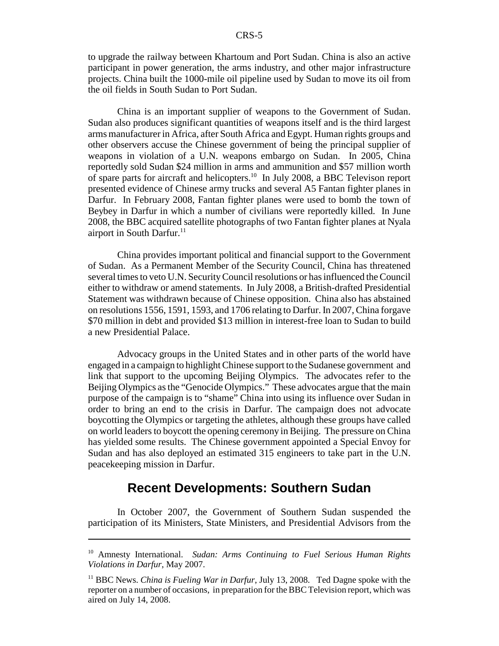to upgrade the railway between Khartoum and Port Sudan. China is also an active participant in power generation, the arms industry, and other major infrastructure projects. China built the 1000-mile oil pipeline used by Sudan to move its oil from the oil fields in South Sudan to Port Sudan.

China is an important supplier of weapons to the Government of Sudan. Sudan also produces significant quantities of weapons itself and is the third largest arms manufacturer in Africa, after South Africa and Egypt. Human rights groups and other observers accuse the Chinese government of being the principal supplier of weapons in violation of a U.N. weapons embargo on Sudan. In 2005, China reportedly sold Sudan \$24 million in arms and ammunition and \$57 million worth of spare parts for aircraft and helicopters.10 In July 2008, a BBC Televison report presented evidence of Chinese army trucks and several A5 Fantan fighter planes in Darfur. In February 2008, Fantan fighter planes were used to bomb the town of Beybey in Darfur in which a number of civilians were reportedly killed. In June 2008, the BBC acquired satellite photographs of two Fantan fighter planes at Nyala airport in South Darfur. $11$ 

China provides important political and financial support to the Government of Sudan. As a Permanent Member of the Security Council, China has threatened several times to veto U.N. Security Council resolutions or has influenced the Council either to withdraw or amend statements. In July 2008, a British-drafted Presidential Statement was withdrawn because of Chinese opposition. China also has abstained on resolutions 1556, 1591, 1593, and 1706 relating to Darfur. In 2007, China forgave \$70 million in debt and provided \$13 million in interest-free loan to Sudan to build a new Presidential Palace.

Advocacy groups in the United States and in other parts of the world have engaged in a campaign to highlight Chinese support to the Sudanese government and link that support to the upcoming Beijing Olympics. The advocates refer to the Beijing Olympics as the "Genocide Olympics." These advocates argue that the main purpose of the campaign is to "shame" China into using its influence over Sudan in order to bring an end to the crisis in Darfur. The campaign does not advocate boycotting the Olympics or targeting the athletes, although these groups have called on world leaders to boycott the opening ceremony in Beijing. The pressure on China has yielded some results. The Chinese government appointed a Special Envoy for Sudan and has also deployed an estimated 315 engineers to take part in the U.N. peacekeeping mission in Darfur.

## **Recent Developments: Southern Sudan**

In October 2007, the Government of Southern Sudan suspended the participation of its Ministers, State Ministers, and Presidential Advisors from the

<sup>10</sup> Amnesty International. *Sudan: Arms Continuing to Fuel Serious Human Rights Violations in Darfur*, May 2007.

<sup>11</sup> BBC News. *China is Fueling War in Darfur*, July 13, 2008. Ted Dagne spoke with the reporter on a number of occasions, in preparation for the BBC Television report, which was aired on July 14, 2008.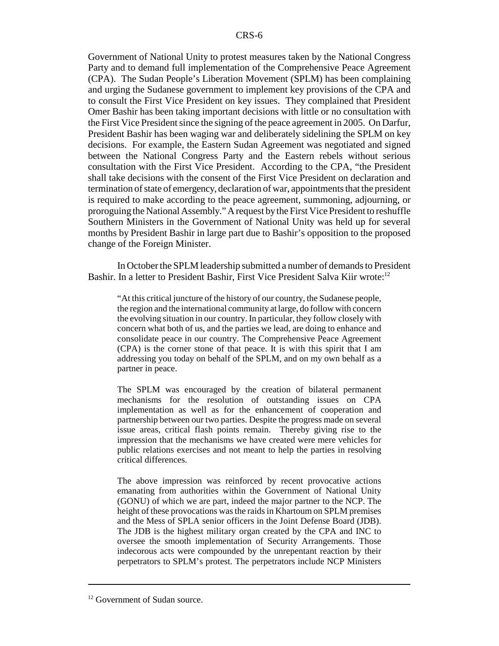Government of National Unity to protest measures taken by the National Congress Party and to demand full implementation of the Comprehensive Peace Agreement (CPA). The Sudan People's Liberation Movement (SPLM) has been complaining and urging the Sudanese government to implement key provisions of the CPA and to consult the First Vice President on key issues. They complained that President Omer Bashir has been taking important decisions with little or no consultation with the First Vice President since the signing of the peace agreement in 2005. On Darfur, President Bashir has been waging war and deliberately sidelining the SPLM on key decisions. For example, the Eastern Sudan Agreement was negotiated and signed between the National Congress Party and the Eastern rebels without serious consultation with the First Vice President. According to the CPA, "the President shall take decisions with the consent of the First Vice President on declaration and termination of state of emergency, declaration of war, appointments that the president is required to make according to the peace agreement, summoning, adjourning, or proroguing the National Assembly." A request by the First Vice President to reshuffle Southern Ministers in the Government of National Unity was held up for several months by President Bashir in large part due to Bashir's opposition to the proposed change of the Foreign Minister.

In October the SPLM leadership submitted a number of demands to President Bashir. In a letter to President Bashir, First Vice President Salva Kiir wrote:<sup>12</sup>

"At this critical juncture of the history of our country, the Sudanese people, the region and the international community at large, do follow with concern the evolving situation in our country. In particular, they follow closely with concern what both of us, and the parties we lead, are doing to enhance and consolidate peace in our country. The Comprehensive Peace Agreement (CPA) is the corner stone of that peace. It is with this spirit that I am addressing you today on behalf of the SPLM, and on my own behalf as a partner in peace.

The SPLM was encouraged by the creation of bilateral permanent mechanisms for the resolution of outstanding issues on CPA implementation as well as for the enhancement of cooperation and partnership between our two parties. Despite the progress made on several issue areas, critical flash points remain. Thereby giving rise to the impression that the mechanisms we have created were mere vehicles for public relations exercises and not meant to help the parties in resolving critical differences.

The above impression was reinforced by recent provocative actions emanating from authorities within the Government of National Unity (GONU) of which we are part, indeed the major partner to the NCP. The height of these provocations was the raids in Khartoum on SPLM premises and the Mess of SPLA senior officers in the Joint Defense Board (JDB). The JDB is the highest military organ created by the CPA and INC to oversee the smooth implementation of Security Arrangements. Those indecorous acts were compounded by the unrepentant reaction by their perpetrators to SPLM's protest. The perpetrators include NCP Ministers

 $12$  Government of Sudan source.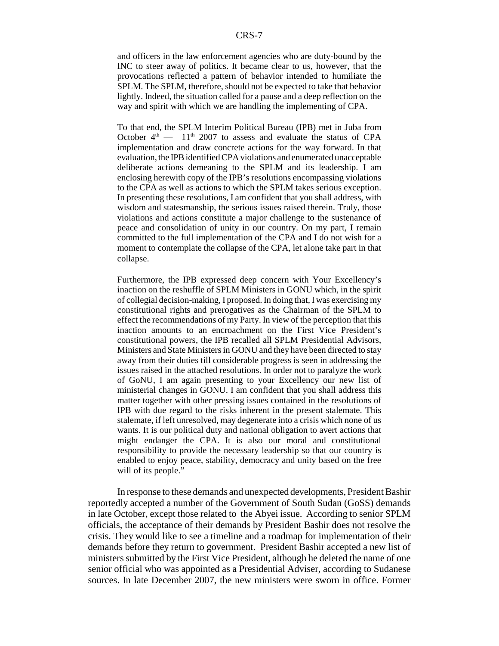and officers in the law enforcement agencies who are duty-bound by the INC to steer away of politics. It became clear to us, however, that the provocations reflected a pattern of behavior intended to humiliate the SPLM. The SPLM, therefore, should not be expected to take that behavior lightly. Indeed, the situation called for a pause and a deep reflection on the way and spirit with which we are handling the implementing of CPA.

To that end, the SPLM Interim Political Bureau (IPB) met in Juba from October  $4<sup>th</sup>$  — 11<sup>th</sup> 2007 to assess and evaluate the status of CPA implementation and draw concrete actions for the way forward. In that evaluation, the IPB identified CPA violations and enumerated unacceptable deliberate actions demeaning to the SPLM and its leadership. I am enclosing herewith copy of the IPB's resolutions encompassing violations to the CPA as well as actions to which the SPLM takes serious exception. In presenting these resolutions, I am confident that you shall address, with wisdom and statesmanship, the serious issues raised therein. Truly, those violations and actions constitute a major challenge to the sustenance of peace and consolidation of unity in our country. On my part, I remain committed to the full implementation of the CPA and I do not wish for a moment to contemplate the collapse of the CPA, let alone take part in that collapse.

Furthermore, the IPB expressed deep concern with Your Excellency's inaction on the reshuffle of SPLM Ministers in GONU which, in the spirit of collegial decision-making, I proposed. In doing that, I was exercising my constitutional rights and prerogatives as the Chairman of the SPLM to effect the recommendations of my Party. In view of the perception that this inaction amounts to an encroachment on the First Vice President's constitutional powers, the IPB recalled all SPLM Presidential Advisors, Ministers and State Ministers in GONU and they have been directed to stay away from their duties till considerable progress is seen in addressing the issues raised in the attached resolutions. In order not to paralyze the work of GoNU, I am again presenting to your Excellency our new list of ministerial changes in GONU. I am confident that you shall address this matter together with other pressing issues contained in the resolutions of IPB with due regard to the risks inherent in the present stalemate. This stalemate, if left unresolved, may degenerate into a crisis which none of us wants. It is our political duty and national obligation to avert actions that might endanger the CPA. It is also our moral and constitutional responsibility to provide the necessary leadership so that our country is enabled to enjoy peace, stability, democracy and unity based on the free will of its people."

In response to these demands and unexpected developments, President Bashir reportedly accepted a number of the Government of South Sudan (GoSS) demands in late October, except those related to the Abyei issue. According to senior SPLM officials, the acceptance of their demands by President Bashir does not resolve the crisis. They would like to see a timeline and a roadmap for implementation of their demands before they return to government. President Bashir accepted a new list of ministers submitted by the First Vice President, although he deleted the name of one senior official who was appointed as a Presidential Adviser, according to Sudanese sources. In late December 2007, the new ministers were sworn in office. Former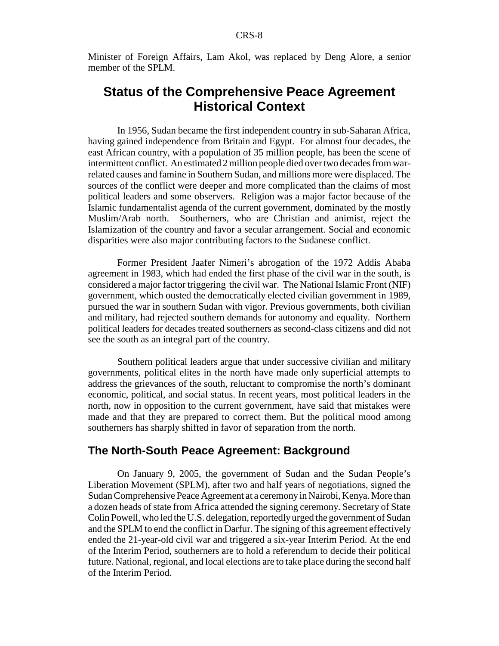Minister of Foreign Affairs, Lam Akol, was replaced by Deng Alore, a senior member of the SPLM.

# **Status of the Comprehensive Peace Agreement Historical Context**

In 1956, Sudan became the first independent country in sub-Saharan Africa, having gained independence from Britain and Egypt. For almost four decades, the east African country, with a population of 35 million people, has been the scene of intermittent conflict. An estimated 2 million people died over two decades from warrelated causes and famine in Southern Sudan, and millions more were displaced. The sources of the conflict were deeper and more complicated than the claims of most political leaders and some observers. Religion was a major factor because of the Islamic fundamentalist agenda of the current government, dominated by the mostly Muslim/Arab north. Southerners, who are Christian and animist, reject the Islamization of the country and favor a secular arrangement. Social and economic disparities were also major contributing factors to the Sudanese conflict.

Former President Jaafer Nimeri's abrogation of the 1972 Addis Ababa agreement in 1983, which had ended the first phase of the civil war in the south, is considered a major factor triggering the civil war. The National Islamic Front (NIF) government, which ousted the democratically elected civilian government in 1989, pursued the war in southern Sudan with vigor. Previous governments, both civilian and military, had rejected southern demands for autonomy and equality. Northern political leaders for decades treated southerners as second-class citizens and did not see the south as an integral part of the country.

Southern political leaders argue that under successive civilian and military governments, political elites in the north have made only superficial attempts to address the grievances of the south, reluctant to compromise the north's dominant economic, political, and social status. In recent years, most political leaders in the north, now in opposition to the current government, have said that mistakes were made and that they are prepared to correct them. But the political mood among southerners has sharply shifted in favor of separation from the north.

## **The North-South Peace Agreement: Background**

On January 9, 2005, the government of Sudan and the Sudan People's Liberation Movement (SPLM), after two and half years of negotiations, signed the Sudan Comprehensive Peace Agreement at a ceremony in Nairobi, Kenya. More than a dozen heads of state from Africa attended the signing ceremony. Secretary of State Colin Powell, who led the U.S. delegation, reportedly urged the government of Sudan and the SPLM to end the conflict in Darfur. The signing of this agreement effectively ended the 21-year-old civil war and triggered a six-year Interim Period. At the end of the Interim Period, southerners are to hold a referendum to decide their political future. National, regional, and local elections are to take place during the second half of the Interim Period.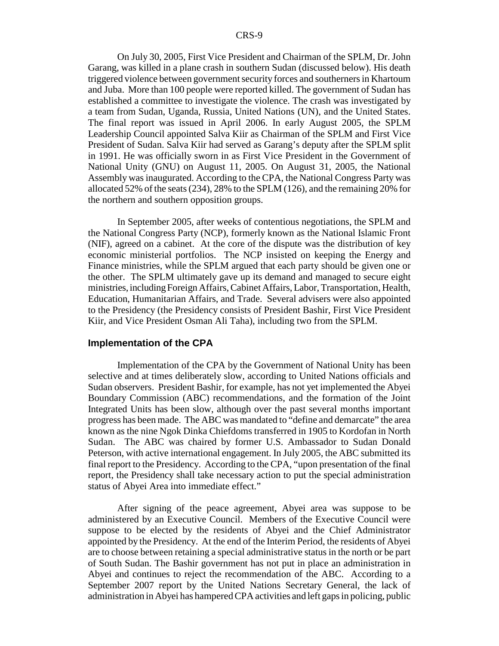On July 30, 2005, First Vice President and Chairman of the SPLM, Dr. John Garang, was killed in a plane crash in southern Sudan (discussed below). His death triggered violence between government security forces and southerners in Khartoum and Juba. More than 100 people were reported killed. The government of Sudan has established a committee to investigate the violence. The crash was investigated by a team from Sudan, Uganda, Russia, United Nations (UN), and the United States. The final report was issued in April 2006. In early August 2005, the SPLM Leadership Council appointed Salva Kiir as Chairman of the SPLM and First Vice President of Sudan. Salva Kiir had served as Garang's deputy after the SPLM split in 1991. He was officially sworn in as First Vice President in the Government of National Unity (GNU) on August 11, 2005. On August 31, 2005, the National Assembly was inaugurated. According to the CPA, the National Congress Party was allocated 52% of the seats (234), 28% to the SPLM (126), and the remaining 20% for the northern and southern opposition groups.

In September 2005, after weeks of contentious negotiations, the SPLM and the National Congress Party (NCP), formerly known as the National Islamic Front (NIF), agreed on a cabinet. At the core of the dispute was the distribution of key economic ministerial portfolios. The NCP insisted on keeping the Energy and Finance ministries, while the SPLM argued that each party should be given one or the other. The SPLM ultimately gave up its demand and managed to secure eight ministries, including Foreign Affairs, Cabinet Affairs, Labor, Transportation, Health, Education, Humanitarian Affairs, and Trade. Several advisers were also appointed to the Presidency (the Presidency consists of President Bashir, First Vice President Kiir, and Vice President Osman Ali Taha), including two from the SPLM.

#### **Implementation of the CPA**

Implementation of the CPA by the Government of National Unity has been selective and at times deliberately slow, according to United Nations officials and Sudan observers. President Bashir, for example, has not yet implemented the Abyei Boundary Commission (ABC) recommendations, and the formation of the Joint Integrated Units has been slow, although over the past several months important progress has been made. The ABC was mandated to "define and demarcate" the area known as the nine Ngok Dinka Chiefdoms transferred in 1905 to Kordofan in North Sudan. The ABC was chaired by former U.S. Ambassador to Sudan Donald Peterson, with active international engagement. In July 2005, the ABC submitted its final report to the Presidency. According to the CPA, "upon presentation of the final report, the Presidency shall take necessary action to put the special administration status of Abyei Area into immediate effect."

After signing of the peace agreement, Abyei area was suppose to be administered by an Executive Council. Members of the Executive Council were suppose to be elected by the residents of Abyei and the Chief Administrator appointed by the Presidency. At the end of the Interim Period, the residents of Abyei are to choose between retaining a special administrative status in the north or be part of South Sudan. The Bashir government has not put in place an administration in Abyei and continues to reject the recommendation of the ABC. According to a September 2007 report by the United Nations Secretary General, the lack of administration in Abyei has hampered CPA activities and left gaps in policing, public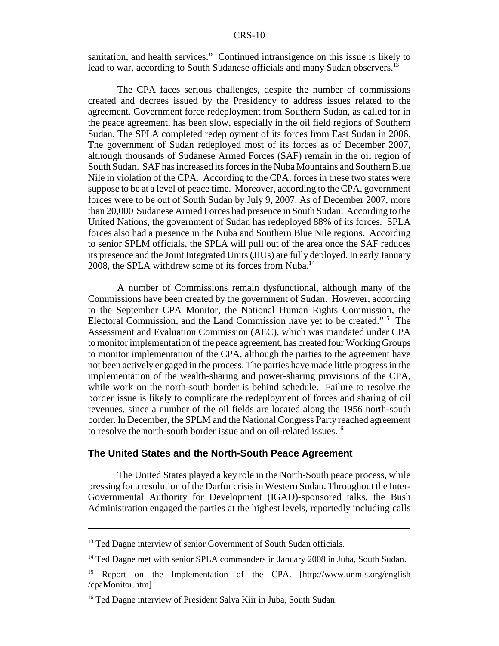sanitation, and health services." Continued intransigence on this issue is likely to lead to war, according to South Sudanese officials and many Sudan observers.<sup>13</sup>

The CPA faces serious challenges, despite the number of commissions created and decrees issued by the Presidency to address issues related to the agreement. Government force redeployment from Southern Sudan, as called for in the peace agreement, has been slow, especially in the oil field regions of Southern Sudan. The SPLA completed redeployment of its forces from East Sudan in 2006. The government of Sudan redeployed most of its forces as of December 2007, although thousands of Sudanese Armed Forces (SAF) remain in the oil region of South Sudan. SAF has increased its forces in the Nuba Mountains and Southern Blue Nile in violation of the CPA. According to the CPA, forces in these two states were suppose to be at a level of peace time. Moreover, according to the CPA, government forces were to be out of South Sudan by July 9, 2007. As of December 2007, more than 20,000 Sudanese Armed Forces had presence in South Sudan. According to the United Nations, the government of Sudan has redeployed 88% of its forces. SPLA forces also had a presence in the Nuba and Southern Blue Nile regions. According to senior SPLM officials, the SPLA will pull out of the area once the SAF reduces its presence and the Joint Integrated Units (JIUs) are fully deployed. In early January 2008, the SPLA withdrew some of its forces from Nuba.<sup>14</sup>

A number of Commissions remain dysfunctional, although many of the Commissions have been created by the government of Sudan. However, according to the September CPA Monitor, the National Human Rights Commission, the Electoral Commission, and the Land Commission have yet to be created."15 The Assessment and Evaluation Commission (AEC), which was mandated under CPA to monitor implementation of the peace agreement, has created four Working Groups to monitor implementation of the CPA, although the parties to the agreement have not been actively engaged in the process. The parties have made little progress in the implementation of the wealth-sharing and power-sharing provisions of the CPA, while work on the north-south border is behind schedule. Failure to resolve the border issue is likely to complicate the redeployment of forces and sharing of oil revenues, since a number of the oil fields are located along the 1956 north-south border. In December, the SPLM and the National Congress Party reached agreement to resolve the north-south border issue and on oil-related issues.<sup>16</sup>

#### **The United States and the North-South Peace Agreement**

The United States played a key role in the North-South peace process, while pressing for a resolution of the Darfur crisis in Western Sudan. Throughout the Inter-Governmental Authority for Development (IGAD)-sponsored talks, the Bush Administration engaged the parties at the highest levels, reportedly including calls

<sup>&</sup>lt;sup>13</sup> Ted Dagne interview of senior Government of South Sudan officials.

<sup>&</sup>lt;sup>14</sup> Ted Dagne met with senior SPLA commanders in January 2008 in Juba, South Sudan.

<sup>&</sup>lt;sup>15</sup> Report on the Implementation of the CPA. [http://www.unmis.org/english /cpaMonitor.htm]

<sup>&</sup>lt;sup>16</sup> Ted Dagne interview of President Salva Kiir in Juba, South Sudan.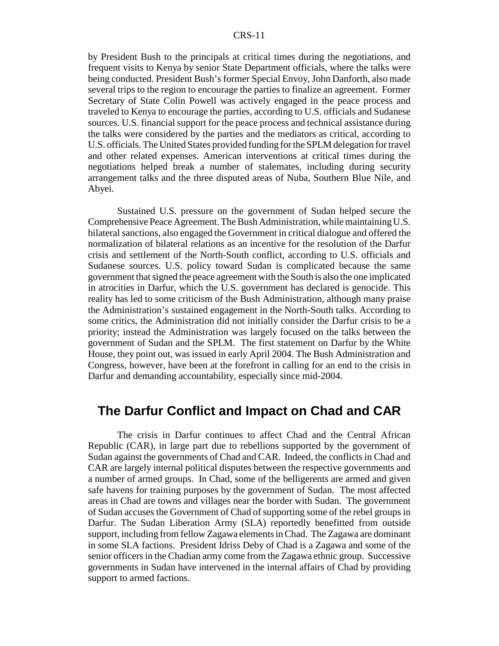by President Bush to the principals at critical times during the negotiations, and frequent visits to Kenya by senior State Department officials, where the talks were being conducted. President Bush's former Special Envoy, John Danforth, also made several trips to the region to encourage the parties to finalize an agreement. Former Secretary of State Colin Powell was actively engaged in the peace process and traveled to Kenya to encourage the parties, according to U.S. officials and Sudanese sources. U.S. financial support for the peace process and technical assistance during the talks were considered by the parties and the mediators as critical, according to U.S. officials. The United States provided funding for the SPLM delegation for travel and other related expenses. American interventions at critical times during the negotiations helped break a number of stalemates, including during security arrangement talks and the three disputed areas of Nuba, Southern Blue Nile, and Abyei.

Sustained U.S. pressure on the government of Sudan helped secure the Comprehensive Peace Agreement. The Bush Administration, while maintaining U.S. bilateral sanctions, also engaged the Government in critical dialogue and offered the normalization of bilateral relations as an incentive for the resolution of the Darfur crisis and settlement of the North-South conflict, according to U.S. officials and Sudanese sources. U.S. policy toward Sudan is complicated because the same government that signed the peace agreement with the South is also the one implicated in atrocities in Darfur, which the U.S. government has declared is genocide. This reality has led to some criticism of the Bush Administration, although many praise the Administration's sustained engagement in the North-South talks. According to some critics, the Administration did not initially consider the Darfur crisis to be a priority; instead the Administration was largely focused on the talks between the government of Sudan and the SPLM. The first statement on Darfur by the White House, they point out, was issued in early April 2004. The Bush Administration and Congress, however, have been at the forefront in calling for an end to the crisis in Darfur and demanding accountability, especially since mid-2004.

## **The Darfur Conflict and Impact on Chad and CAR**

The crisis in Darfur continues to affect Chad and the Central African Republic (CAR), in large part due to rebellions supported by the government of Sudan against the governments of Chad and CAR. Indeed, the conflicts in Chad and CAR are largely internal political disputes between the respective governments and a number of armed groups. In Chad, some of the belligerents are armed and given safe havens for training purposes by the government of Sudan. The most affected areas in Chad are towns and villages near the border with Sudan. The government of Sudan accuses the Government of Chad of supporting some of the rebel groups in Darfur. The Sudan Liberation Army (SLA) reportedly benefitted from outside support, including from fellow Zagawa elements in Chad. The Zagawa are dominant in some SLA factions. President Idriss Deby of Chad is a Zagawa and some of the senior officers in the Chadian army come from the Zagawa ethnic group. Successive governments in Sudan have intervened in the internal affairs of Chad by providing support to armed factions.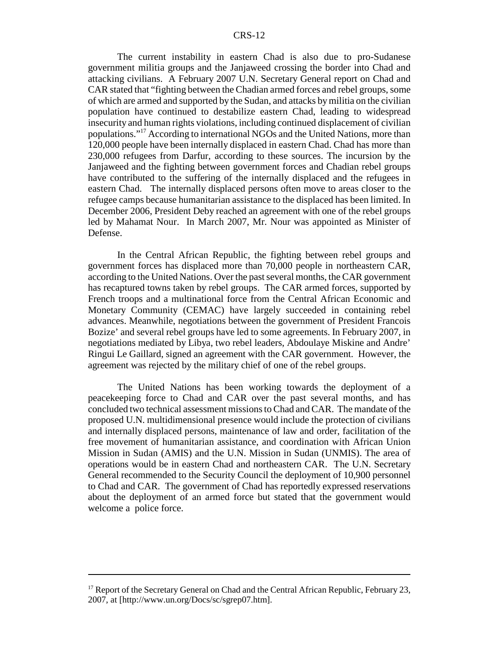The current instability in eastern Chad is also due to pro-Sudanese government militia groups and the Janjaweed crossing the border into Chad and attacking civilians. A February 2007 U.N. Secretary General report on Chad and CAR stated that "fighting between the Chadian armed forces and rebel groups, some of which are armed and supported by the Sudan, and attacks by militia on the civilian population have continued to destabilize eastern Chad, leading to widespread insecurity and human rights violations, including continued displacement of civilian populations."17 According to international NGOs and the United Nations, more than 120,000 people have been internally displaced in eastern Chad. Chad has more than 230,000 refugees from Darfur, according to these sources. The incursion by the Janjaweed and the fighting between government forces and Chadian rebel groups have contributed to the suffering of the internally displaced and the refugees in eastern Chad. The internally displaced persons often move to areas closer to the refugee camps because humanitarian assistance to the displaced has been limited. In December 2006, President Deby reached an agreement with one of the rebel groups led by Mahamat Nour. In March 2007, Mr. Nour was appointed as Minister of Defense.

In the Central African Republic, the fighting between rebel groups and government forces has displaced more than 70,000 people in northeastern CAR, according to the United Nations. Over the past several months, the CAR government has recaptured towns taken by rebel groups. The CAR armed forces, supported by French troops and a multinational force from the Central African Economic and Monetary Community (CEMAC) have largely succeeded in containing rebel advances. Meanwhile, negotiations between the government of President Francois Bozize' and several rebel groups have led to some agreements. In February 2007, in negotiations mediated by Libya, two rebel leaders, Abdoulaye Miskine and Andre' Ringui Le Gaillard, signed an agreement with the CAR government. However, the agreement was rejected by the military chief of one of the rebel groups.

The United Nations has been working towards the deployment of a peacekeeping force to Chad and CAR over the past several months, and has concluded two technical assessment missions to Chad and CAR. The mandate of the proposed U.N. multidimensional presence would include the protection of civilians and internally displaced persons, maintenance of law and order, facilitation of the free movement of humanitarian assistance, and coordination with African Union Mission in Sudan (AMIS) and the U.N. Mission in Sudan (UNMIS). The area of operations would be in eastern Chad and northeastern CAR. The U.N. Secretary General recommended to the Security Council the deployment of 10,900 personnel to Chad and CAR. The government of Chad has reportedly expressed reservations about the deployment of an armed force but stated that the government would welcome a police force.

 $17$  Report of the Secretary General on Chad and the Central African Republic, February 23, 2007, at [http://www.un.org/Docs/sc/sgrep07.htm].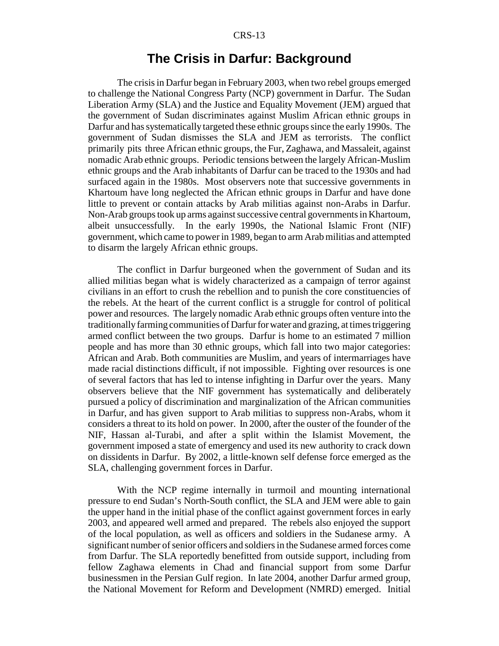## **The Crisis in Darfur: Background**

The crisis in Darfur began in February 2003, when two rebel groups emerged to challenge the National Congress Party (NCP) government in Darfur. The Sudan Liberation Army (SLA) and the Justice and Equality Movement (JEM) argued that the government of Sudan discriminates against Muslim African ethnic groups in Darfur and has systematically targeted these ethnic groups since the early 1990s. The government of Sudan dismisses the SLA and JEM as terrorists. The conflict primarily pits three African ethnic groups, the Fur, Zaghawa, and Massaleit, against nomadic Arab ethnic groups. Periodic tensions between the largely African-Muslim ethnic groups and the Arab inhabitants of Darfur can be traced to the 1930s and had surfaced again in the 1980s. Most observers note that successive governments in Khartoum have long neglected the African ethnic groups in Darfur and have done little to prevent or contain attacks by Arab militias against non-Arabs in Darfur. Non-Arab groups took up arms against successive central governments in Khartoum, albeit unsuccessfully. In the early 1990s, the National Islamic Front (NIF) government, which came to power in 1989, began to arm Arab militias and attempted to disarm the largely African ethnic groups.

The conflict in Darfur burgeoned when the government of Sudan and its allied militias began what is widely characterized as a campaign of terror against civilians in an effort to crush the rebellion and to punish the core constituencies of the rebels. At the heart of the current conflict is a struggle for control of political power and resources. The largely nomadic Arab ethnic groups often venture into the traditionally farming communities of Darfur for water and grazing, at times triggering armed conflict between the two groups. Darfur is home to an estimated 7 million people and has more than 30 ethnic groups, which fall into two major categories: African and Arab. Both communities are Muslim, and years of intermarriages have made racial distinctions difficult, if not impossible. Fighting over resources is one of several factors that has led to intense infighting in Darfur over the years. Many observers believe that the NIF government has systematically and deliberately pursued a policy of discrimination and marginalization of the African communities in Darfur, and has given support to Arab militias to suppress non-Arabs, whom it considers a threat to its hold on power. In 2000, after the ouster of the founder of the NIF, Hassan al-Turabi, and after a split within the Islamist Movement, the government imposed a state of emergency and used its new authority to crack down on dissidents in Darfur. By 2002, a little-known self defense force emerged as the SLA, challenging government forces in Darfur.

With the NCP regime internally in turmoil and mounting international pressure to end Sudan's North-South conflict, the SLA and JEM were able to gain the upper hand in the initial phase of the conflict against government forces in early 2003, and appeared well armed and prepared. The rebels also enjoyed the support of the local population, as well as officers and soldiers in the Sudanese army. A significant number of senior officers and soldiers in the Sudanese armed forces come from Darfur. The SLA reportedly benefitted from outside support, including from fellow Zaghawa elements in Chad and financial support from some Darfur businessmen in the Persian Gulf region. In late 2004, another Darfur armed group, the National Movement for Reform and Development (NMRD) emerged. Initial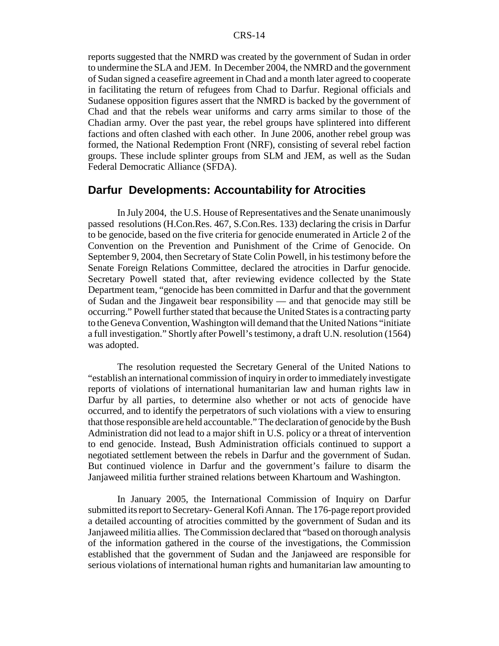reports suggested that the NMRD was created by the government of Sudan in order to undermine the SLA and JEM. In December 2004, the NMRD and the government of Sudan signed a ceasefire agreement in Chad and a month later agreed to cooperate in facilitating the return of refugees from Chad to Darfur. Regional officials and Sudanese opposition figures assert that the NMRD is backed by the government of Chad and that the rebels wear uniforms and carry arms similar to those of the Chadian army. Over the past year, the rebel groups have splintered into different factions and often clashed with each other. In June 2006, another rebel group was formed, the National Redemption Front (NRF), consisting of several rebel faction groups. These include splinter groups from SLM and JEM, as well as the Sudan Federal Democratic Alliance (SFDA).

## **Darfur Developments: Accountability for Atrocities**

In July 2004, the U.S. House of Representatives and the Senate unanimously passed resolutions (H.Con.Res. 467, S.Con.Res. 133) declaring the crisis in Darfur to be genocide, based on the five criteria for genocide enumerated in Article 2 of the Convention on the Prevention and Punishment of the Crime of Genocide. On September 9, 2004, then Secretary of State Colin Powell, in his testimony before the Senate Foreign Relations Committee, declared the atrocities in Darfur genocide. Secretary Powell stated that, after reviewing evidence collected by the State Department team, "genocide has been committed in Darfur and that the government of Sudan and the Jingaweit bear responsibility — and that genocide may still be occurring." Powell further stated that because the United States is a contracting party to the Geneva Convention, Washington will demand that the United Nations "initiate a full investigation." Shortly after Powell's testimony, a draft U.N. resolution (1564) was adopted.

The resolution requested the Secretary General of the United Nations to "establish an international commission of inquiry in order to immediately investigate reports of violations of international humanitarian law and human rights law in Darfur by all parties, to determine also whether or not acts of genocide have occurred, and to identify the perpetrators of such violations with a view to ensuring that those responsible are held accountable." The declaration of genocide by the Bush Administration did not lead to a major shift in U.S. policy or a threat of intervention to end genocide. Instead, Bush Administration officials continued to support a negotiated settlement between the rebels in Darfur and the government of Sudan. But continued violence in Darfur and the government's failure to disarm the Janjaweed militia further strained relations between Khartoum and Washington.

In January 2005, the International Commission of Inquiry on Darfur submitted its report to Secretary- General Kofi Annan. The 176-page report provided a detailed accounting of atrocities committed by the government of Sudan and its Janjaweed militia allies. The Commission declared that "based on thorough analysis of the information gathered in the course of the investigations, the Commission established that the government of Sudan and the Janjaweed are responsible for serious violations of international human rights and humanitarian law amounting to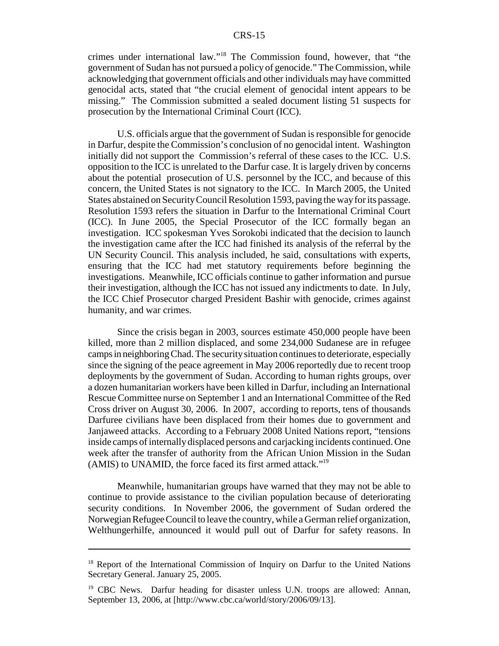crimes under international law."18 The Commission found, however, that "the government of Sudan has not pursued a policy of genocide." The Commission, while acknowledging that government officials and other individuals may have committed genocidal acts, stated that "the crucial element of genocidal intent appears to be missing." The Commission submitted a sealed document listing 51 suspects for prosecution by the International Criminal Court (ICC).

U.S. officials argue that the government of Sudan is responsible for genocide in Darfur, despite the Commission's conclusion of no genocidal intent. Washington initially did not support the Commission's referral of these cases to the ICC. U.S. opposition to the ICC is unrelated to the Darfur case. It is largely driven by concerns about the potential prosecution of U.S. personnel by the ICC, and because of this concern, the United States is not signatory to the ICC. In March 2005, the United States abstained on Security Council Resolution 1593, paving the way for its passage. Resolution 1593 refers the situation in Darfur to the International Criminal Court (ICC). In June 2005, the Special Prosecutor of the ICC formally began an investigation. ICC spokesman Yves Sorokobi indicated that the decision to launch the investigation came after the ICC had finished its analysis of the referral by the UN Security Council. This analysis included, he said, consultations with experts, ensuring that the ICC had met statutory requirements before beginning the investigations. Meanwhile, ICC officials continue to gather information and pursue their investigation, although the ICC has not issued any indictments to date. In July, the ICC Chief Prosecutor charged President Bashir with genocide, crimes against humanity, and war crimes.

Since the crisis began in 2003, sources estimate 450,000 people have been killed, more than 2 million displaced, and some 234,000 Sudanese are in refugee camps in neighboring Chad. The security situation continues to deteriorate, especially since the signing of the peace agreement in May 2006 reportedly due to recent troop deployments by the government of Sudan. According to human rights groups, over a dozen humanitarian workers have been killed in Darfur, including an International Rescue Committee nurse on September 1 and an International Committee of the Red Cross driver on August 30, 2006. In 2007, according to reports, tens of thousands Darfuree civilians have been displaced from their homes due to government and Janjaweed attacks. According to a February 2008 United Nations report, "tensions inside camps of internally displaced persons and carjacking incidents continued. One week after the transfer of authority from the African Union Mission in the Sudan (AMIS) to UNAMID, the force faced its first armed attack."19

Meanwhile, humanitarian groups have warned that they may not be able to continue to provide assistance to the civilian population because of deteriorating security conditions. In November 2006, the government of Sudan ordered the Norwegian Refugee Council to leave the country, while a German relief organization, Welthungerhilfe, announced it would pull out of Darfur for safety reasons. In

<sup>&</sup>lt;sup>18</sup> Report of the International Commission of Inquiry on Darfur to the United Nations Secretary General. January 25, 2005.

<sup>&</sup>lt;sup>19</sup> CBC News. Darfur heading for disaster unless U.N. troops are allowed: Annan, September 13, 2006, at [http://www.cbc.ca/world/story/2006/09/13].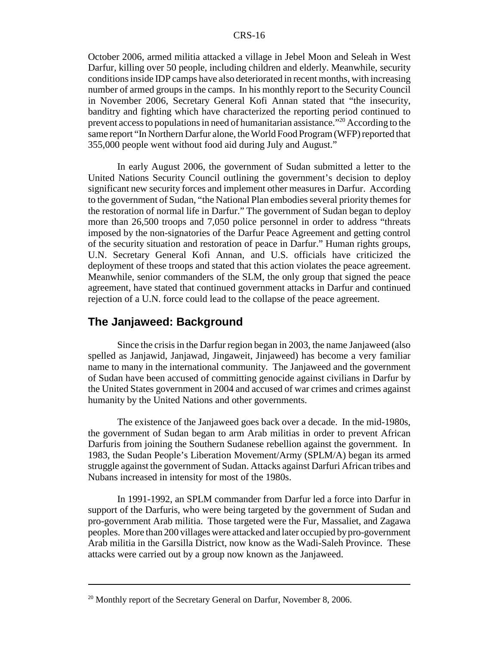October 2006, armed militia attacked a village in Jebel Moon and Seleah in West Darfur, killing over 50 people, including children and elderly. Meanwhile, security conditions inside IDP camps have also deteriorated in recent months, with increasing number of armed groups in the camps. In his monthly report to the Security Council in November 2006, Secretary General Kofi Annan stated that "the insecurity, banditry and fighting which have characterized the reporting period continued to prevent access to populations in need of humanitarian assistance."20 According to the same report "In Northern Darfur alone, the World Food Program (WFP) reported that 355,000 people went without food aid during July and August."

In early August 2006, the government of Sudan submitted a letter to the United Nations Security Council outlining the government's decision to deploy significant new security forces and implement other measures in Darfur. According to the government of Sudan, "the National Plan embodies several priority themes for the restoration of normal life in Darfur." The government of Sudan began to deploy more than 26,500 troops and 7,050 police personnel in order to address "threats imposed by the non-signatories of the Darfur Peace Agreement and getting control of the security situation and restoration of peace in Darfur." Human rights groups, U.N. Secretary General Kofi Annan, and U.S. officials have criticized the deployment of these troops and stated that this action violates the peace agreement. Meanwhile, senior commanders of the SLM, the only group that signed the peace agreement, have stated that continued government attacks in Darfur and continued rejection of a U.N. force could lead to the collapse of the peace agreement.

## **The Janjaweed: Background**

Since the crisis in the Darfur region began in 2003, the name Janjaweed (also spelled as Janjawid, Janjawad, Jingaweit, Jinjaweed) has become a very familiar name to many in the international community. The Janjaweed and the government of Sudan have been accused of committing genocide against civilians in Darfur by the United States government in 2004 and accused of war crimes and crimes against humanity by the United Nations and other governments.

The existence of the Janjaweed goes back over a decade. In the mid-1980s, the government of Sudan began to arm Arab militias in order to prevent African Darfuris from joining the Southern Sudanese rebellion against the government. In 1983, the Sudan People's Liberation Movement/Army (SPLM/A) began its armed struggle against the government of Sudan. Attacks against Darfuri African tribes and Nubans increased in intensity for most of the 1980s.

In 1991-1992, an SPLM commander from Darfur led a force into Darfur in support of the Darfuris, who were being targeted by the government of Sudan and pro-government Arab militia. Those targeted were the Fur, Massaliet, and Zagawa peoples. More than 200 villages were attacked and later occupied by pro-government Arab militia in the Garsilla District, now know as the Wadi-Saleh Province. These attacks were carried out by a group now known as the Janjaweed.

<sup>&</sup>lt;sup>20</sup> Monthly report of the Secretary General on Darfur, November 8, 2006.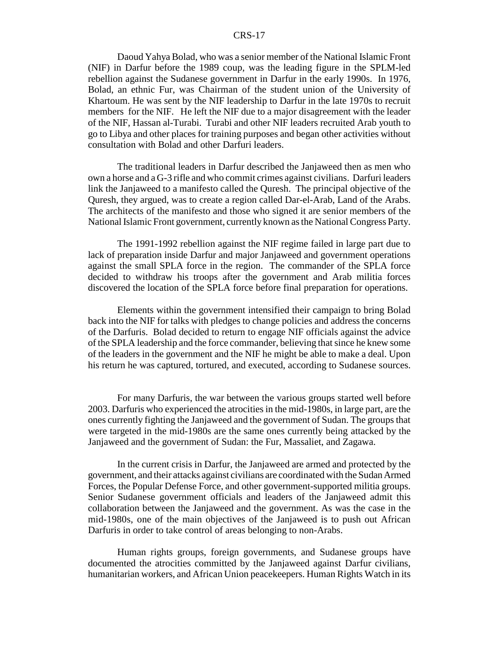Daoud Yahya Bolad, who was a senior member of the National Islamic Front (NIF) in Darfur before the 1989 coup, was the leading figure in the SPLM-led rebellion against the Sudanese government in Darfur in the early 1990s. In 1976, Bolad, an ethnic Fur, was Chairman of the student union of the University of Khartoum. He was sent by the NIF leadership to Darfur in the late 1970s to recruit members for the NIF. He left the NIF due to a major disagreement with the leader of the NIF, Hassan al-Turabi. Turabi and other NIF leaders recruited Arab youth to go to Libya and other places for training purposes and began other activities without consultation with Bolad and other Darfuri leaders.

The traditional leaders in Darfur described the Janjaweed then as men who own a horse and a G-3 rifle and who commit crimes against civilians. Darfuri leaders link the Janjaweed to a manifesto called the Quresh. The principal objective of the Quresh, they argued, was to create a region called Dar-el-Arab, Land of the Arabs. The architects of the manifesto and those who signed it are senior members of the National Islamic Front government, currently known as the National Congress Party.

The 1991-1992 rebellion against the NIF regime failed in large part due to lack of preparation inside Darfur and major Janjaweed and government operations against the small SPLA force in the region. The commander of the SPLA force decided to withdraw his troops after the government and Arab militia forces discovered the location of the SPLA force before final preparation for operations.

Elements within the government intensified their campaign to bring Bolad back into the NIF for talks with pledges to change policies and address the concerns of the Darfuris. Bolad decided to return to engage NIF officials against the advice of the SPLA leadership and the force commander, believing that since he knew some of the leaders in the government and the NIF he might be able to make a deal. Upon his return he was captured, tortured, and executed, according to Sudanese sources.

For many Darfuris, the war between the various groups started well before 2003. Darfuris who experienced the atrocities in the mid-1980s, in large part, are the ones currently fighting the Janjaweed and the government of Sudan. The groups that were targeted in the mid-1980s are the same ones currently being attacked by the Janjaweed and the government of Sudan: the Fur, Massaliet, and Zagawa.

In the current crisis in Darfur, the Janjaweed are armed and protected by the government, and their attacks against civilians are coordinated with the Sudan Armed Forces, the Popular Defense Force, and other government-supported militia groups. Senior Sudanese government officials and leaders of the Janjaweed admit this collaboration between the Janjaweed and the government. As was the case in the mid-1980s, one of the main objectives of the Janjaweed is to push out African Darfuris in order to take control of areas belonging to non-Arabs.

Human rights groups, foreign governments, and Sudanese groups have documented the atrocities committed by the Janjaweed against Darfur civilians, humanitarian workers, and African Union peacekeepers. Human Rights Watch in its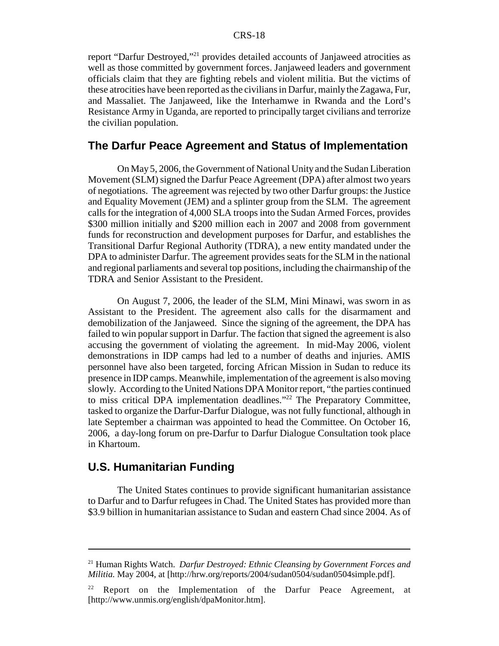report "Darfur Destroyed,"21 provides detailed accounts of Janjaweed atrocities as well as those committed by government forces. Janjaweed leaders and government officials claim that they are fighting rebels and violent militia. But the victims of these atrocities have been reported as the civilians in Darfur, mainly the Zagawa, Fur, and Massaliet. The Janjaweed, like the Interhamwe in Rwanda and the Lord's Resistance Army in Uganda, are reported to principally target civilians and terrorize the civilian population.

## **The Darfur Peace Agreement and Status of Implementation**

On May 5, 2006, the Government of National Unity and the Sudan Liberation Movement (SLM) signed the Darfur Peace Agreement (DPA) after almost two years of negotiations. The agreement was rejected by two other Darfur groups: the Justice and Equality Movement (JEM) and a splinter group from the SLM. The agreement calls for the integration of 4,000 SLA troops into the Sudan Armed Forces, provides \$300 million initially and \$200 million each in 2007 and 2008 from government funds for reconstruction and development purposes for Darfur, and establishes the Transitional Darfur Regional Authority (TDRA), a new entity mandated under the DPA to administer Darfur. The agreement provides seats for the SLM in the national and regional parliaments and several top positions, including the chairmanship of the TDRA and Senior Assistant to the President.

On August 7, 2006, the leader of the SLM, Mini Minawi, was sworn in as Assistant to the President. The agreement also calls for the disarmament and demobilization of the Janjaweed. Since the signing of the agreement, the DPA has failed to win popular support in Darfur. The faction that signed the agreement is also accusing the government of violating the agreement. In mid-May 2006, violent demonstrations in IDP camps had led to a number of deaths and injuries. AMIS personnel have also been targeted, forcing African Mission in Sudan to reduce its presence in IDP camps. Meanwhile, implementation of the agreement is also moving slowly. According to the United Nations DPA Monitor report, "the parties continued to miss critical DPA implementation deadlines."<sup>22</sup> The Preparatory Committee, tasked to organize the Darfur-Darfur Dialogue, was not fully functional, although in late September a chairman was appointed to head the Committee. On October 16, 2006, a day-long forum on pre-Darfur to Darfur Dialogue Consultation took place in Khartoum.

## **U.S. Humanitarian Funding**

The United States continues to provide significant humanitarian assistance to Darfur and to Darfur refugees in Chad. The United States has provided more than \$3.9 billion in humanitarian assistance to Sudan and eastern Chad since 2004. As of

<sup>21</sup> Human Rights Watch. *Darfur Destroyed: Ethnic Cleansing by Government Forces and Militia.* May 2004, at [http://hrw.org/reports/2004/sudan0504/sudan0504simple.pdf].

 $22$  Report on the Implementation of the Darfur Peace Agreement, at [http://www.unmis.org/english/dpaMonitor.htm].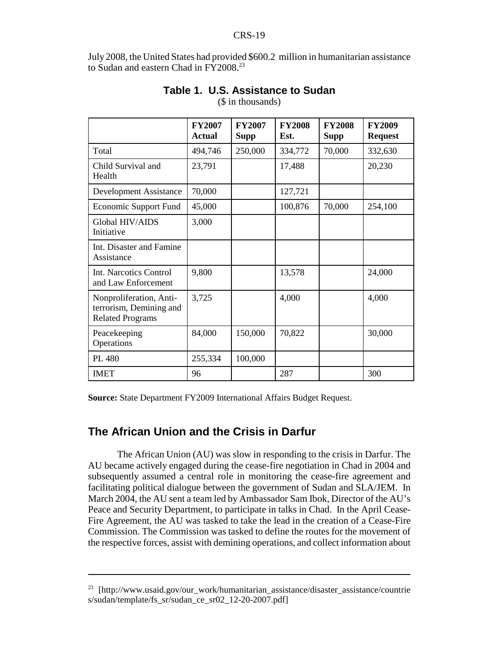July 2008, the United States had provided \$600.2 million in humanitarian assistance to Sudan and eastern Chad in FY2008.<sup>23</sup>

|                                                                               | <b>FY2007</b><br><b>Actual</b> | <b>FY2007</b><br><b>Supp</b> | <b>FY2008</b><br>Est. | <b>FY2008</b><br><b>Supp</b> | <b>FY2009</b><br><b>Request</b> |
|-------------------------------------------------------------------------------|--------------------------------|------------------------------|-----------------------|------------------------------|---------------------------------|
| Total                                                                         | 494,746                        | 250,000                      | 334,772               | 70,000                       | 332,630                         |
| Child Survival and<br>Health                                                  | 23,791                         |                              | 17,488                |                              | 20,230                          |
| Development Assistance                                                        | 70,000                         |                              | 127,721               |                              |                                 |
| <b>Economic Support Fund</b>                                                  | 45,000                         |                              | 100,876               | 70,000                       | 254,100                         |
| Global HIV/AIDS<br>Initiative                                                 | 3,000                          |                              |                       |                              |                                 |
| Int. Disaster and Famine<br>Assistance                                        |                                |                              |                       |                              |                                 |
| Int. Narcotics Control<br>and Law Enforcement                                 | 9,800                          |                              | 13,578                |                              | 24,000                          |
| Nonproliferation, Anti-<br>terrorism, Demining and<br><b>Related Programs</b> | 3,725                          |                              | 4,000                 |                              | 4,000                           |
| Peacekeeping<br>Operations                                                    | 84,000                         | 150,000                      | 70,822                |                              | 30,000                          |
| PL 480                                                                        | 255,334                        | 100,000                      |                       |                              |                                 |
| <b>IMET</b>                                                                   | 96                             |                              | 287                   |                              | 300                             |

## **Table 1. U.S. Assistance to Sudan**

(\$ in thousands)

**Source:** State Department FY2009 International Affairs Budget Request.

## **The African Union and the Crisis in Darfur**

The African Union (AU) was slow in responding to the crisis in Darfur. The AU became actively engaged during the cease-fire negotiation in Chad in 2004 and subsequently assumed a central role in monitoring the cease-fire agreement and facilitating political dialogue between the government of Sudan and SLA/JEM. In March 2004, the AU sent a team led by Ambassador Sam Ibok, Director of the AU's Peace and Security Department, to participate in talks in Chad. In the April Cease-Fire Agreement, the AU was tasked to take the lead in the creation of a Cease-Fire Commission. The Commission was tasked to define the routes for the movement of the respective forces, assist with demining operations, and collect information about

<sup>&</sup>lt;sup>23</sup> [http://www.usaid.gov/our\_work/humanitarian\_assistance/disaster\_assistance/countrie s/sudan/template/fs\_sr/sudan\_ce\_sr02\_12-20-2007.pdf]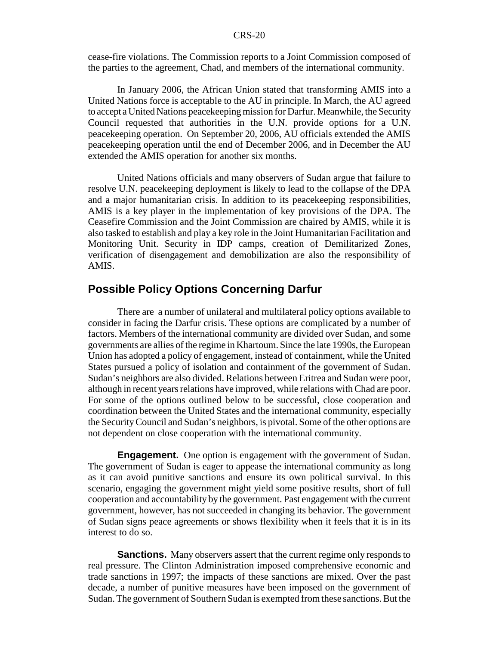cease-fire violations. The Commission reports to a Joint Commission composed of the parties to the agreement, Chad, and members of the international community.

In January 2006, the African Union stated that transforming AMIS into a United Nations force is acceptable to the AU in principle. In March, the AU agreed to accept a United Nations peacekeeping mission for Darfur. Meanwhile, the Security Council requested that authorities in the U.N. provide options for a U.N. peacekeeping operation. On September 20, 2006, AU officials extended the AMIS peacekeeping operation until the end of December 2006, and in December the AU extended the AMIS operation for another six months.

United Nations officials and many observers of Sudan argue that failure to resolve U.N. peacekeeping deployment is likely to lead to the collapse of the DPA and a major humanitarian crisis. In addition to its peacekeeping responsibilities, AMIS is a key player in the implementation of key provisions of the DPA. The Ceasefire Commission and the Joint Commission are chaired by AMIS, while it is also tasked to establish and play a key role in the Joint Humanitarian Facilitation and Monitoring Unit. Security in IDP camps, creation of Demilitarized Zones, verification of disengagement and demobilization are also the responsibility of AMIS.

## **Possible Policy Options Concerning Darfur**

There are a number of unilateral and multilateral policy options available to consider in facing the Darfur crisis. These options are complicated by a number of factors. Members of the international community are divided over Sudan, and some governments are allies of the regime in Khartoum. Since the late 1990s, the European Union has adopted a policy of engagement, instead of containment, while the United States pursued a policy of isolation and containment of the government of Sudan. Sudan's neighbors are also divided. Relations between Eritrea and Sudan were poor, although in recent years relations have improved, while relations with Chad are poor. For some of the options outlined below to be successful, close cooperation and coordination between the United States and the international community, especially the Security Council and Sudan's neighbors, is pivotal. Some of the other options are not dependent on close cooperation with the international community.

**Engagement.** One option is engagement with the government of Sudan. The government of Sudan is eager to appease the international community as long as it can avoid punitive sanctions and ensure its own political survival. In this scenario, engaging the government might yield some positive results, short of full cooperation and accountability by the government. Past engagement with the current government, however, has not succeeded in changing its behavior. The government of Sudan signs peace agreements or shows flexibility when it feels that it is in its interest to do so.

**Sanctions.** Many observers assert that the current regime only responds to real pressure. The Clinton Administration imposed comprehensive economic and trade sanctions in 1997; the impacts of these sanctions are mixed. Over the past decade, a number of punitive measures have been imposed on the government of Sudan. The government of Southern Sudan is exempted from these sanctions. But the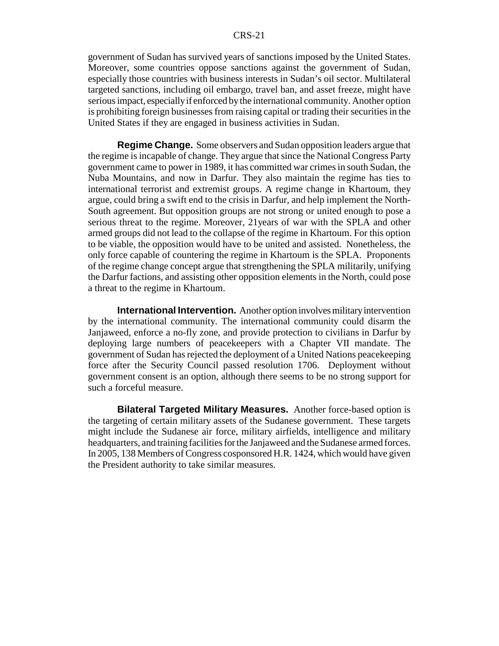government of Sudan has survived years of sanctions imposed by the United States. Moreover, some countries oppose sanctions against the government of Sudan, especially those countries with business interests in Sudan's oil sector. Multilateral targeted sanctions, including oil embargo, travel ban, and asset freeze, might have serious impact, especially if enforced by the international community. Another option is prohibiting foreign businesses from raising capital or trading their securities in the United States if they are engaged in business activities in Sudan.

**Regime Change.** Some observers and Sudan opposition leaders argue that the regime is incapable of change. They argue that since the National Congress Party government came to power in 1989, it has committed war crimes in south Sudan, the Nuba Mountains, and now in Darfur. They also maintain the regime has ties to international terrorist and extremist groups. A regime change in Khartoum, they argue, could bring a swift end to the crisis in Darfur, and help implement the North-South agreement. But opposition groups are not strong or united enough to pose a serious threat to the regime. Moreover, 21years of war with the SPLA and other armed groups did not lead to the collapse of the regime in Khartoum. For this option to be viable, the opposition would have to be united and assisted. Nonetheless, the only force capable of countering the regime in Khartoum is the SPLA. Proponents of the regime change concept argue that strengthening the SPLA militarily, unifying the Darfur factions, and assisting other opposition elements in the North, could pose a threat to the regime in Khartoum.

**International Intervention.** Another option involves military intervention by the international community. The international community could disarm the Janjaweed, enforce a no-fly zone, and provide protection to civilians in Darfur by deploying large numbers of peacekeepers with a Chapter VII mandate. The government of Sudan has rejected the deployment of a United Nations peacekeeping force after the Security Council passed resolution 1706. Deployment without government consent is an option, although there seems to be no strong support for such a forceful measure.

**Bilateral Targeted Military Measures.** Another force-based option is the targeting of certain military assets of the Sudanese government. These targets might include the Sudanese air force, military airfields, intelligence and military headquarters, and training facilities for the Janjaweed and the Sudanese armed forces. In 2005, 138 Members of Congress cosponsored H.R. 1424, which would have given the President authority to take similar measures.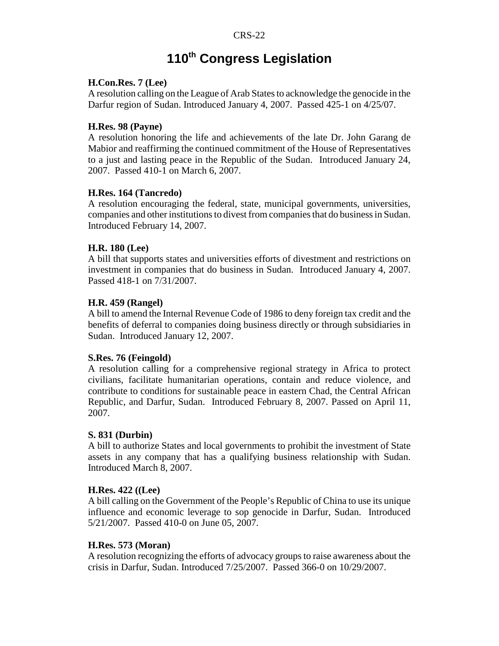# **110th Congress Legislation**

## **H.Con.Res. 7 (Lee)**

A resolution calling on the League of Arab States to acknowledge the genocide in the Darfur region of Sudan. Introduced January 4, 2007. Passed 425-1 on 4/25/07.

## **H.Res. 98 (Payne)**

A resolution honoring the life and achievements of the late Dr. John Garang de Mabior and reaffirming the continued commitment of the House of Representatives to a just and lasting peace in the Republic of the Sudan. Introduced January 24, 2007. Passed 410-1 on March 6, 2007.

## **H.Res. 164 (Tancredo)**

A resolution encouraging the federal, state, municipal governments, universities, companies and other institutions to divest from companies that do business in Sudan. Introduced February 14, 2007.

## **H.R. 180 (Lee)**

A bill that supports states and universities efforts of divestment and restrictions on investment in companies that do business in Sudan. Introduced January 4, 2007. Passed 418-1 on 7/31/2007.

## **H.R. 459 (Rangel)**

A bill to amend the Internal Revenue Code of 1986 to deny foreign tax credit and the benefits of deferral to companies doing business directly or through subsidiaries in Sudan. Introduced January 12, 2007.

#### **S.Res. 76 (Feingold)**

A resolution calling for a comprehensive regional strategy in Africa to protect civilians, facilitate humanitarian operations, contain and reduce violence, and contribute to conditions for sustainable peace in eastern Chad, the Central African Republic, and Darfur, Sudan. Introduced February 8, 2007. Passed on April 11, 2007.

## **S. 831 (Durbin)**

A bill to authorize States and local governments to prohibit the investment of State assets in any company that has a qualifying business relationship with Sudan. Introduced March 8, 2007.

#### **H.Res. 422 ((Lee)**

A bill calling on the Government of the People's Republic of China to use its unique influence and economic leverage to sop genocide in Darfur, Sudan. Introduced 5/21/2007. Passed 410-0 on June 05, 2007.

#### **H.Res. 573 (Moran)**

A resolution recognizing the efforts of advocacy groups to raise awareness about the crisis in Darfur, Sudan. Introduced 7/25/2007. Passed 366-0 on 10/29/2007.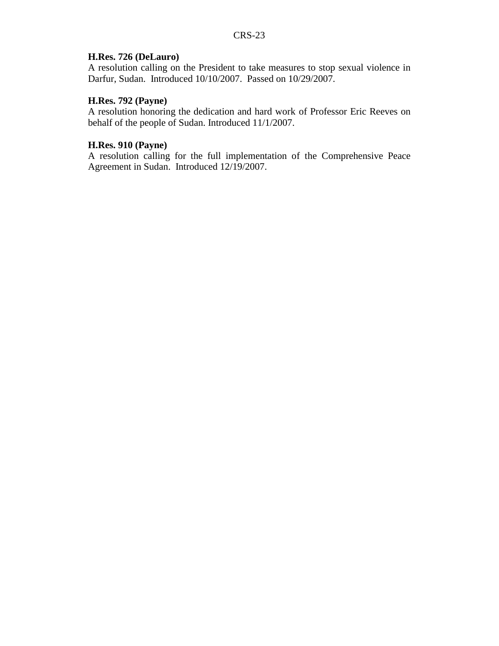## **H.Res. 726 (DeLauro)**

A resolution calling on the President to take measures to stop sexual violence in Darfur, Sudan. Introduced 10/10/2007. Passed on 10/29/2007.

## **H.Res. 792 (Payne)**

A resolution honoring the dedication and hard work of Professor Eric Reeves on behalf of the people of Sudan. Introduced 11/1/2007.

## **H.Res. 910 (Payne)**

A resolution calling for the full implementation of the Comprehensive Peace Agreement in Sudan. Introduced 12/19/2007.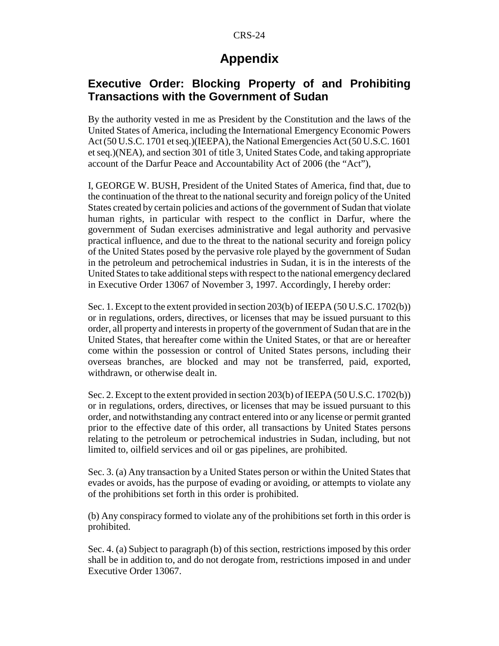## **Appendix**

## **Executive Order: Blocking Property of and Prohibiting Transactions with the Government of Sudan**

By the authority vested in me as President by the Constitution and the laws of the United States of America, including the International Emergency Economic Powers Act (50 U.S.C. 1701 et seq.)(IEEPA), the National Emergencies Act (50 U.S.C. 1601 et seq.)(NEA), and section 301 of title 3, United States Code, and taking appropriate account of the Darfur Peace and Accountability Act of 2006 (the "Act"),

I, GEORGE W. BUSH, President of the United States of America, find that, due to the continuation of the threat to the national security and foreign policy of the United States created by certain policies and actions of the government of Sudan that violate human rights, in particular with respect to the conflict in Darfur, where the government of Sudan exercises administrative and legal authority and pervasive practical influence, and due to the threat to the national security and foreign policy of the United States posed by the pervasive role played by the government of Sudan in the petroleum and petrochemical industries in Sudan, it is in the interests of the United States to take additional steps with respect to the national emergency declared in Executive Order 13067 of November 3, 1997. Accordingly, I hereby order:

Sec. 1. Except to the extent provided in section 203(b) of IEEPA (50 U.S.C. 1702(b)) or in regulations, orders, directives, or licenses that may be issued pursuant to this order, all property and interests in property of the government of Sudan that are in the United States, that hereafter come within the United States, or that are or hereafter come within the possession or control of United States persons, including their overseas branches, are blocked and may not be transferred, paid, exported, withdrawn, or otherwise dealt in.

Sec. 2. Except to the extent provided in section 203(b) of IEEPA (50 U.S.C. 1702(b)) or in regulations, orders, directives, or licenses that may be issued pursuant to this order, and notwithstanding any contract entered into or any license or permit granted prior to the effective date of this order, all transactions by United States persons relating to the petroleum or petrochemical industries in Sudan, including, but not limited to, oilfield services and oil or gas pipelines, are prohibited.

Sec. 3. (a) Any transaction by a United States person or within the United States that evades or avoids, has the purpose of evading or avoiding, or attempts to violate any of the prohibitions set forth in this order is prohibited.

(b) Any conspiracy formed to violate any of the prohibitions set forth in this order is prohibited.

Sec. 4. (a) Subject to paragraph (b) of this section, restrictions imposed by this order shall be in addition to, and do not derogate from, restrictions imposed in and under Executive Order 13067.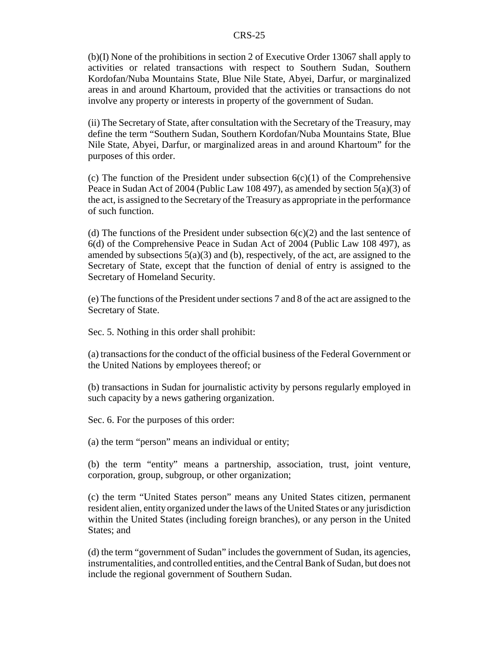(b)(I) None of the prohibitions in section 2 of Executive Order 13067 shall apply to activities or related transactions with respect to Southern Sudan, Southern Kordofan/Nuba Mountains State, Blue Nile State, Abyei, Darfur, or marginalized areas in and around Khartoum, provided that the activities or transactions do not involve any property or interests in property of the government of Sudan.

(ii) The Secretary of State, after consultation with the Secretary of the Treasury, may define the term "Southern Sudan, Southern Kordofan/Nuba Mountains State, Blue Nile State, Abyei, Darfur, or marginalized areas in and around Khartoum" for the purposes of this order.

(c) The function of the President under subsection  $6(c)(1)$  of the Comprehensive Peace in Sudan Act of 2004 (Public Law 108 497), as amended by section 5(a)(3) of the act, is assigned to the Secretary of the Treasury as appropriate in the performance of such function.

(d) The functions of the President under subsection  $6(c)(2)$  and the last sentence of 6(d) of the Comprehensive Peace in Sudan Act of 2004 (Public Law 108 497), as amended by subsections 5(a)(3) and (b), respectively, of the act, are assigned to the Secretary of State, except that the function of denial of entry is assigned to the Secretary of Homeland Security.

(e) The functions of the President under sections 7 and 8 of the act are assigned to the Secretary of State.

Sec. 5. Nothing in this order shall prohibit:

(a) transactions for the conduct of the official business of the Federal Government or the United Nations by employees thereof; or

(b) transactions in Sudan for journalistic activity by persons regularly employed in such capacity by a news gathering organization.

Sec. 6. For the purposes of this order:

(a) the term "person" means an individual or entity;

(b) the term "entity" means a partnership, association, trust, joint venture, corporation, group, subgroup, or other organization;

(c) the term "United States person" means any United States citizen, permanent resident alien, entity organized under the laws of the United States or any jurisdiction within the United States (including foreign branches), or any person in the United States; and

(d) the term "government of Sudan" includes the government of Sudan, its agencies, instrumentalities, and controlled entities, and the Central Bank of Sudan, but does not include the regional government of Southern Sudan.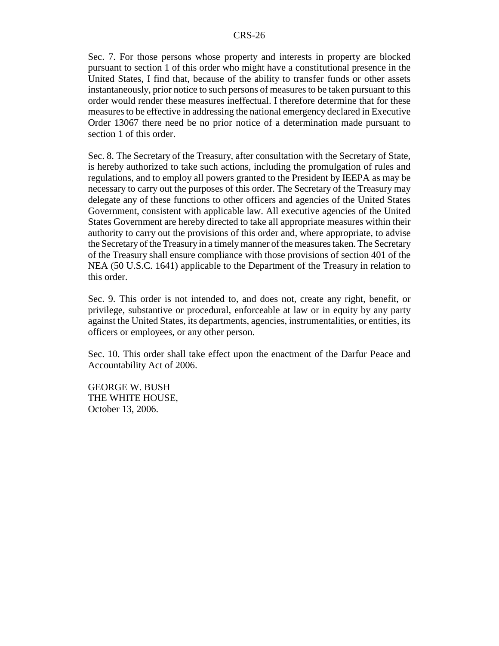Sec. 7. For those persons whose property and interests in property are blocked pursuant to section 1 of this order who might have a constitutional presence in the United States, I find that, because of the ability to transfer funds or other assets instantaneously, prior notice to such persons of measures to be taken pursuant to this order would render these measures ineffectual. I therefore determine that for these measures to be effective in addressing the national emergency declared in Executive Order 13067 there need be no prior notice of a determination made pursuant to section 1 of this order.

Sec. 8. The Secretary of the Treasury, after consultation with the Secretary of State, is hereby authorized to take such actions, including the promulgation of rules and regulations, and to employ all powers granted to the President by IEEPA as may be necessary to carry out the purposes of this order. The Secretary of the Treasury may delegate any of these functions to other officers and agencies of the United States Government, consistent with applicable law. All executive agencies of the United States Government are hereby directed to take all appropriate measures within their authority to carry out the provisions of this order and, where appropriate, to advise the Secretary of the Treasury in a timely manner of the measures taken. The Secretary of the Treasury shall ensure compliance with those provisions of section 401 of the NEA (50 U.S.C. 1641) applicable to the Department of the Treasury in relation to this order.

Sec. 9. This order is not intended to, and does not, create any right, benefit, or privilege, substantive or procedural, enforceable at law or in equity by any party against the United States, its departments, agencies, instrumentalities, or entities, its officers or employees, or any other person.

Sec. 10. This order shall take effect upon the enactment of the Darfur Peace and Accountability Act of 2006.

GEORGE W. BUSH THE WHITE HOUSE, October 13, 2006.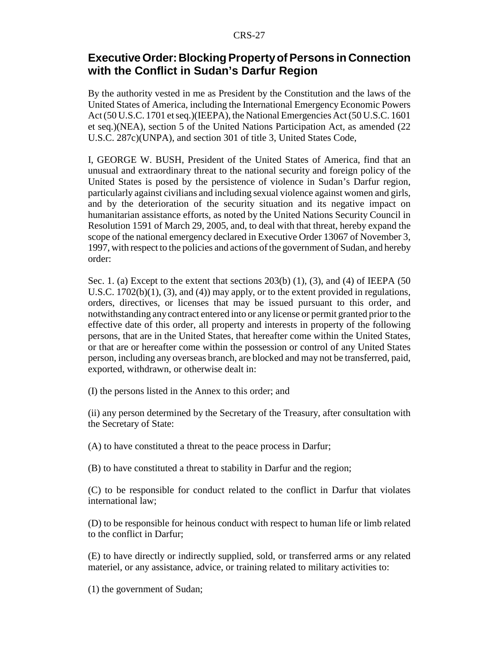## **Executive Order: Blocking Property of Persons in Connection with the Conflict in Sudan's Darfur Region**

By the authority vested in me as President by the Constitution and the laws of the United States of America, including the International Emergency Economic Powers Act (50 U.S.C. 1701 et seq.)(IEEPA), the National Emergencies Act (50 U.S.C. 1601 et seq.)(NEA), section 5 of the United Nations Participation Act, as amended (22 U.S.C. 287c)(UNPA), and section 301 of title 3, United States Code,

I, GEORGE W. BUSH, President of the United States of America, find that an unusual and extraordinary threat to the national security and foreign policy of the United States is posed by the persistence of violence in Sudan's Darfur region, particularly against civilians and including sexual violence against women and girls, and by the deterioration of the security situation and its negative impact on humanitarian assistance efforts, as noted by the United Nations Security Council in Resolution 1591 of March 29, 2005, and, to deal with that threat, hereby expand the scope of the national emergency declared in Executive Order 13067 of November 3, 1997, with respect to the policies and actions of the government of Sudan, and hereby order:

Sec. 1. (a) Except to the extent that sections  $203(b)$  (1), (3), and (4) of IEEPA (50) U.S.C.  $1702(b)(1)$ ,  $(3)$ , and  $(4)$ ) may apply, or to the extent provided in regulations, orders, directives, or licenses that may be issued pursuant to this order, and notwithstanding any contract entered into or any license or permit granted prior to the effective date of this order, all property and interests in property of the following persons, that are in the United States, that hereafter come within the United States, or that are or hereafter come within the possession or control of any United States person, including any overseas branch, are blocked and may not be transferred, paid, exported, withdrawn, or otherwise dealt in:

(I) the persons listed in the Annex to this order; and

(ii) any person determined by the Secretary of the Treasury, after consultation with the Secretary of State:

(A) to have constituted a threat to the peace process in Darfur;

(B) to have constituted a threat to stability in Darfur and the region;

(C) to be responsible for conduct related to the conflict in Darfur that violates international law;

(D) to be responsible for heinous conduct with respect to human life or limb related to the conflict in Darfur;

(E) to have directly or indirectly supplied, sold, or transferred arms or any related materiel, or any assistance, advice, or training related to military activities to:

(1) the government of Sudan;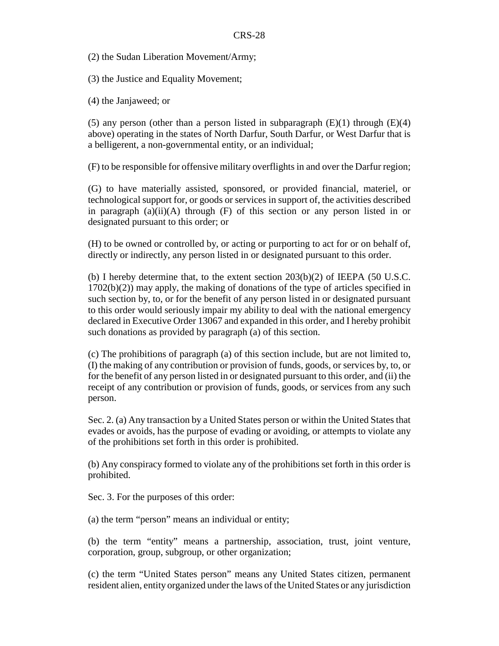(2) the Sudan Liberation Movement/Army;

(3) the Justice and Equality Movement;

(4) the Janjaweed; or

(5) any person (other than a person listed in subparagraph  $(E)(1)$  through  $(E)(4)$ above) operating in the states of North Darfur, South Darfur, or West Darfur that is a belligerent, a non-governmental entity, or an individual;

(F) to be responsible for offensive military overflights in and over the Darfur region;

(G) to have materially assisted, sponsored, or provided financial, materiel, or technological support for, or goods or services in support of, the activities described in paragraph (a)(ii)(A) through (F) of this section or any person listed in or designated pursuant to this order; or

(H) to be owned or controlled by, or acting or purporting to act for or on behalf of, directly or indirectly, any person listed in or designated pursuant to this order.

(b) I hereby determine that, to the extent section  $203(b)(2)$  of IEEPA (50 U.S.C. 1702(b)(2)) may apply, the making of donations of the type of articles specified in such section by, to, or for the benefit of any person listed in or designated pursuant to this order would seriously impair my ability to deal with the national emergency declared in Executive Order 13067 and expanded in this order, and I hereby prohibit such donations as provided by paragraph (a) of this section.

(c) The prohibitions of paragraph (a) of this section include, but are not limited to, (I) the making of any contribution or provision of funds, goods, or services by, to, or for the benefit of any person listed in or designated pursuant to this order, and (ii) the receipt of any contribution or provision of funds, goods, or services from any such person.

Sec. 2. (a) Any transaction by a United States person or within the United States that evades or avoids, has the purpose of evading or avoiding, or attempts to violate any of the prohibitions set forth in this order is prohibited.

(b) Any conspiracy formed to violate any of the prohibitions set forth in this order is prohibited.

Sec. 3. For the purposes of this order:

(a) the term "person" means an individual or entity;

(b) the term "entity" means a partnership, association, trust, joint venture, corporation, group, subgroup, or other organization;

(c) the term "United States person" means any United States citizen, permanent resident alien, entity organized under the laws of the United States or any jurisdiction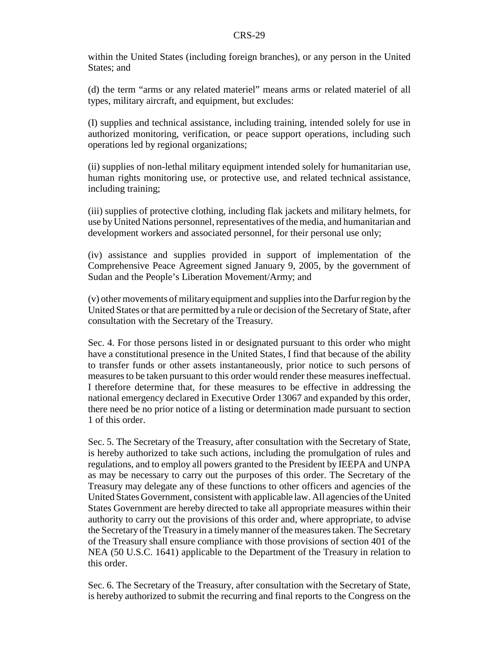within the United States (including foreign branches), or any person in the United States; and

(d) the term "arms or any related materiel" means arms or related materiel of all types, military aircraft, and equipment, but excludes:

(I) supplies and technical assistance, including training, intended solely for use in authorized monitoring, verification, or peace support operations, including such operations led by regional organizations;

(ii) supplies of non-lethal military equipment intended solely for humanitarian use, human rights monitoring use, or protective use, and related technical assistance, including training;

(iii) supplies of protective clothing, including flak jackets and military helmets, for use by United Nations personnel, representatives of the media, and humanitarian and development workers and associated personnel, for their personal use only;

(iv) assistance and supplies provided in support of implementation of the Comprehensive Peace Agreement signed January 9, 2005, by the government of Sudan and the People's Liberation Movement/Army; and

(v) other movements of military equipment and supplies into the Darfur region by the United States or that are permitted by a rule or decision of the Secretary of State, after consultation with the Secretary of the Treasury.

Sec. 4. For those persons listed in or designated pursuant to this order who might have a constitutional presence in the United States, I find that because of the ability to transfer funds or other assets instantaneously, prior notice to such persons of measures to be taken pursuant to this order would render these measures ineffectual. I therefore determine that, for these measures to be effective in addressing the national emergency declared in Executive Order 13067 and expanded by this order, there need be no prior notice of a listing or determination made pursuant to section 1 of this order.

Sec. 5. The Secretary of the Treasury, after consultation with the Secretary of State, is hereby authorized to take such actions, including the promulgation of rules and regulations, and to employ all powers granted to the President by IEEPA and UNPA as may be necessary to carry out the purposes of this order. The Secretary of the Treasury may delegate any of these functions to other officers and agencies of the United States Government, consistent with applicable law. All agencies of the United States Government are hereby directed to take all appropriate measures within their authority to carry out the provisions of this order and, where appropriate, to advise the Secretary of the Treasury in a timely manner of the measures taken. The Secretary of the Treasury shall ensure compliance with those provisions of section 401 of the NEA (50 U.S.C. 1641) applicable to the Department of the Treasury in relation to this order.

Sec. 6. The Secretary of the Treasury, after consultation with the Secretary of State, is hereby authorized to submit the recurring and final reports to the Congress on the